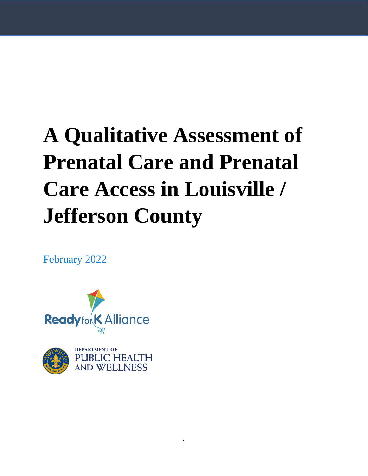# **A Qualitative Assessment of Prenatal Care and Prenatal Care Access in Louisville / Jefferson County**

February 2022





**DEPARTMENT OF PUBLIC HEALTH AND WELLNESS**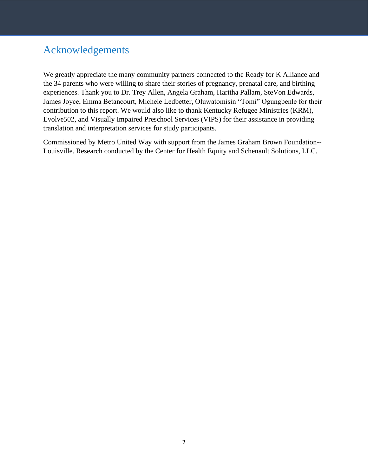# <span id="page-1-0"></span>Acknowledgements

We greatly appreciate the many community partners connected to the Ready for K Alliance and the 34 parents who were willing to share their stories of pregnancy, prenatal care, and birthing experiences. Thank you to Dr. Trey Allen, Angela Graham, Haritha Pallam, SteVon Edwards, James Joyce, Emma Betancourt, Michele Ledbetter, Oluwatomisin "Tomi" Ogungbenle for their contribution to this report. We would also like to thank Kentucky Refugee Ministries (KRM), Evolve502, and Visually Impaired Preschool Services (VIPS) for their assistance in providing translation and interpretation services for study participants.

Commissioned by Metro United Way with support from the James Graham Brown Foundation-- Louisville. Research conducted by the Center for Health Equity and Schenault Solutions, LLC.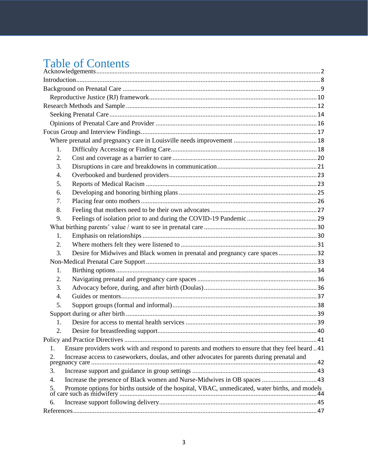# **Table of Contents**

| 1. |                                                                                                 |  |  |  |
|----|-------------------------------------------------------------------------------------------------|--|--|--|
| 2. |                                                                                                 |  |  |  |
| 3. |                                                                                                 |  |  |  |
| 4. |                                                                                                 |  |  |  |
| 5. |                                                                                                 |  |  |  |
| 6. |                                                                                                 |  |  |  |
| 7. |                                                                                                 |  |  |  |
| 8. |                                                                                                 |  |  |  |
| 9. |                                                                                                 |  |  |  |
|    |                                                                                                 |  |  |  |
| 1. |                                                                                                 |  |  |  |
| 2. |                                                                                                 |  |  |  |
| 3. | Desire for Midwives and Black women in prenatal and pregnancy care spaces32                     |  |  |  |
|    |                                                                                                 |  |  |  |
| 1. |                                                                                                 |  |  |  |
| 2. |                                                                                                 |  |  |  |
| 3. |                                                                                                 |  |  |  |
| 4. |                                                                                                 |  |  |  |
| 5. |                                                                                                 |  |  |  |
|    |                                                                                                 |  |  |  |
| 1. |                                                                                                 |  |  |  |
| 2. |                                                                                                 |  |  |  |
|    |                                                                                                 |  |  |  |
| 1. | Ensure providers work with and respond to parents and mothers to ensure that they feel heard 41 |  |  |  |
| 2. | Increase access to caseworkers, doulas, and other advocates for parents during prenatal and     |  |  |  |
| 3. |                                                                                                 |  |  |  |
| 4. | Increase the presence of Black women and Nurse-Midwives in OB spaces  43                        |  |  |  |
| 5. | Promote options for births outside of the hospital, VBAC, unmedicated, water births, and models |  |  |  |
| 6. |                                                                                                 |  |  |  |
|    |                                                                                                 |  |  |  |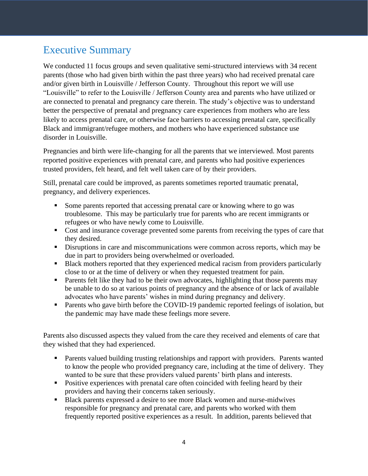# Executive Summary

We conducted 11 focus groups and seven qualitative semi-structured interviews with 34 recent parents (those who had given birth within the past three years) who had received prenatal care and/or given birth in Louisville / Jefferson County. Throughout this report we will use "Louisville" to refer to the Louisville / Jefferson County area and parents who have utilized or are connected to prenatal and pregnancy care therein. The study's objective was to understand better the perspective of prenatal and pregnancy care experiences from mothers who are less likely to access prenatal care, or otherwise face barriers to accessing prenatal care, specifically Black and immigrant/refugee mothers, and mothers who have experienced substance use disorder in Louisville.

Pregnancies and birth were life-changing for all the parents that we interviewed. Most parents reported positive experiences with prenatal care, and parents who had positive experiences trusted providers, felt heard, and felt well taken care of by their providers.

Still, prenatal care could be improved, as parents sometimes reported traumatic prenatal, pregnancy, and delivery experiences.

- Some parents reported that accessing prenatal care or knowing where to go was troublesome. This may be particularly true for parents who are recent immigrants or refugees or who have newly come to Louisville.
- Cost and insurance coverage prevented some parents from receiving the types of care that they desired.
- **EXECUTE:** Disruptions in care and miscommunications were common across reports, which may be due in part to providers being overwhelmed or overloaded.
- Black mothers reported that they experienced medical racism from providers particularly close to or at the time of delivery or when they requested treatment for pain.
- **•** Parents felt like they had to be their own advocates, highlighting that those parents may be unable to do so at various points of pregnancy and the absence of or lack of available advocates who have parents' wishes in mind during pregnancy and delivery.
- Parents who gave birth before the COVID-19 pandemic reported feelings of isolation, but the pandemic may have made these feelings more severe.

Parents also discussed aspects they valued from the care they received and elements of care that they wished that they had experienced.

- Parents valued building trusting relationships and rapport with providers. Parents wanted to know the people who provided pregnancy care, including at the time of delivery. They wanted to be sure that these providers valued parents' birth plans and interests.
- Positive experiences with prenatal care often coincided with feeling heard by their providers and having their concerns taken seriously.
- Black parents expressed a desire to see more Black women and nurse-midwives responsible for pregnancy and prenatal care, and parents who worked with them frequently reported positive experiences as a result. In addition, parents believed that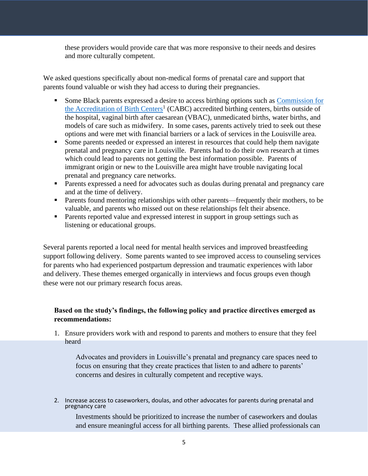these providers would provide care that was more responsive to their needs and desires and more culturally competent.

We asked questions specifically about non-medical forms of prenatal care and support that parents found valuable or wish they had access to during their pregnancies.

- Some Black parents expressed a desire to access birthing options such as Commission for [the Accreditation of Birth Centers](https://birthcenteraccreditation.org/wp-content/uploads/2021/07/AABC-CABC-Relationship.pdf)<sup>1</sup> (CABC) accredited birthing centers, births outside of the hospital, vaginal birth after caesarean (VBAC), unmedicated births, water births, and models of care such as midwifery. In some cases, parents actively tried to seek out these options and were met with financial barriers or a lack of services in the Louisville area.
- Some parents needed or expressed an interest in resources that could help them navigate prenatal and pregnancy care in Louisville. Parents had to do their own research at times which could lead to parents not getting the best information possible. Parents of immigrant origin or new to the Louisville area might have trouble navigating local prenatal and pregnancy care networks.
- Parents expressed a need for advocates such as doulas during prenatal and pregnancy care and at the time of delivery.
- Parents found mentoring relationships with other parents—frequently their mothers, to be valuable, and parents who missed out on these relationships felt their absence.
- Parents reported value and expressed interest in support in group settings such as listening or educational groups.

Several parents reported a local need for mental health services and improved breastfeeding support following delivery. Some parents wanted to see improved access to counseling services for parents who had experienced postpartum depression and traumatic experiences with labor and delivery. These themes emerged organically in interviews and focus groups even though these were not our primary research focus areas.

# **Based on the study's findings, the following policy and practice directives emerged as recommendations:**

1. Ensure providers work with and respond to parents and mothers to ensure that they feel heard

Advocates and providers in Louisville's prenatal and pregnancy care spaces need to focus on ensuring that they create practices that listen to and adhere to parents' concerns and desires in culturally competent and receptive ways.

2. Increase access to caseworkers, doulas, and other advocates for parents during prenatal and pregnancy care

Investments should be prioritized to increase the number of caseworkers and doulas and ensure meaningful access for all birthing parents. These allied professionals can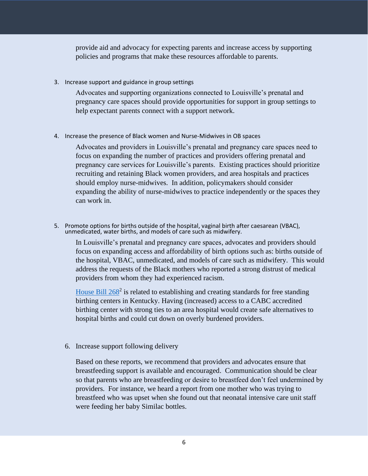provide aid and advocacy for expecting parents and increase access by supporting policies and programs that make these resources affordable to parents.

3. Increase support and guidance in group settings

Advocates and supporting organizations connected to Louisville's prenatal and pregnancy care spaces should provide opportunities for support in group settings to help expectant parents connect with a support network.

4. Increase the presence of Black women and Nurse-Midwives in OB spaces

Advocates and providers in Louisville's prenatal and pregnancy care spaces need to focus on expanding the number of practices and providers offering prenatal and pregnancy care services for Louisville's parents. Existing practices should prioritize recruiting and retaining Black women providers, and area hospitals and practices should employ nurse-midwives. In addition, policymakers should consider expanding the ability of nurse-midwives to practice independently or the spaces they can work in.

5. Promote options for births outside of the hospital, vaginal birth after caesarean (VBAC), unmedicated, water births, and models of care such as midwifery.

In Louisville's prenatal and pregnancy care spaces, advocates and providers should focus on expanding access and affordability of birth options such as: births outside of the hospital, VBAC, unmedicated, and models of care such as midwifery. This would address the requests of the Black mothers who reported a strong distrust of medical providers from whom they had experienced racism.

House Bill  $268^2$  is related to establishing and creating standards for free standing birthing centers in Kentucky. Having (increased) access to a CABC accredited birthing center with strong ties to an area hospital would create safe alternatives to hospital births and could cut down on overly burdened providers.

6. Increase support following delivery

Based on these reports, we recommend that providers and advocates ensure that breastfeeding support is available and encouraged. Communication should be clear so that parents who are breastfeeding or desire to breastfeed don't feel undermined by providers. For instance, we heard a report from one mother who was trying to breastfeed who was upset when she found out that neonatal intensive care unit staff were feeding her baby Similac bottles.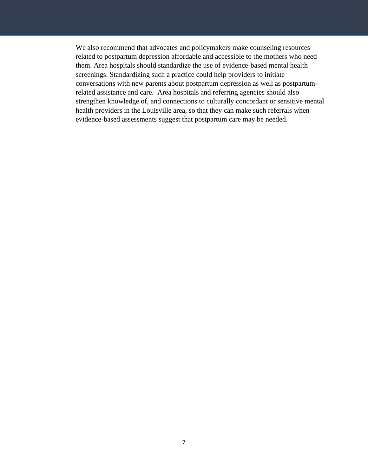We also recommend that advocates and policymakers make counseling resources related to postpartum depression affordable and accessible to the mothers who need them. Area hospitals should standardize the use of evidence-based mental health screenings. Standardizing such a practice could help providers to initiate conversations with new parents about postpartum depression as well as postpartumrelated assistance and care. Area hospitals and referring agencies should also strengthen knowledge of, and connections to culturally concordant or sensitive mental health providers in the Louisville area, so that they can make such referrals when evidence-based assessments suggest that postpartum care may be needed.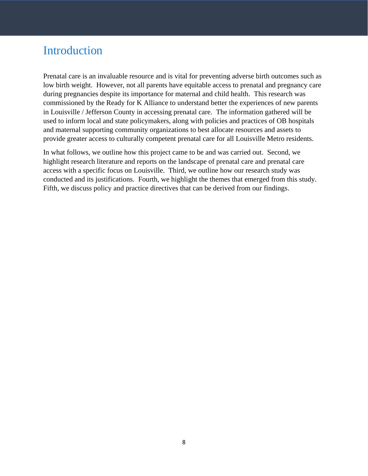# <span id="page-7-0"></span>Introduction

Prenatal care is an invaluable resource and is vital for preventing adverse birth outcomes such as low birth weight. However, not all parents have equitable access to prenatal and pregnancy care during pregnancies despite its importance for maternal and child health. This research was commissioned by the Ready for K Alliance to understand better the experiences of new parents in Louisville / Jefferson County in accessing prenatal care. The information gathered will be used to inform local and state policymakers, along with policies and practices of OB hospitals and maternal supporting community organizations to best allocate resources and assets to provide greater access to culturally competent prenatal care for all Louisville Metro residents.

In what follows, we outline how this project came to be and was carried out. Second, we highlight research literature and reports on the landscape of prenatal care and prenatal care access with a specific focus on Louisville. Third, we outline how our research study was conducted and its justifications. Fourth, we highlight the themes that emerged from this study. Fifth, we discuss policy and practice directives that can be derived from our findings.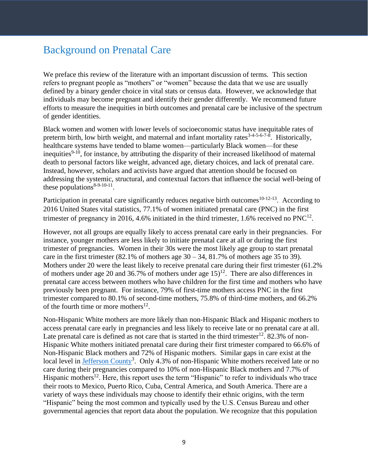# <span id="page-8-0"></span>Background on Prenatal Care

We preface this review of the literature with an important discussion of terms. This section refers to pregnant people as "mothers" or "women" because the data that we use are usually defined by a binary gender choice in vital stats or census data. However, we acknowledge that individuals may become pregnant and identify their gender differently. We recommend future efforts to measure the inequities in birth outcomes and prenatal care be inclusive of the spectrum of gender identities.

Black women and women with lower levels of socioeconomic status have inequitable rates of preterm birth, low birth weight, and maternal and infant mortality rates<sup>3-4-5-6-7-8</sup>. Historically, healthcare systems have tended to blame women—particularly Black women—for these inequities<sup>9-10</sup>, for instance, by attributing the disparity of their increased likelihood of maternal death to personal factors like weight, advanced age, dietary choices, and lack of prenatal care. Instead, however, scholars and activists have argued that attention should be focused on addressing the systemic, structural, and contextual factors that influence the social well-being of these populations<sup>8-9-10-11</sup>.

Participation in prenatal care significantly reduces negative birth outcomes<sup>10-12-13</sup>. According to 2016 United States vital statistics, 77.1% of women initiated prenatal care (PNC) in the first trimester of pregnancy in 2016, 4.6% initiated in the third trimester, 1.6% received no  $PNC^{12}$ .

However, not all groups are equally likely to access prenatal care early in their pregnancies. For instance, younger mothers are less likely to initiate prenatal care at all or during the first trimester of pregnancies. Women in their 30s were the most likely age group to start prenatal care in the first trimester  $(82.1\% \text{ of mothers age } 30 - 34, 81.7\% \text{ of mothers age } 35 \text{ to } 39).$ Mothers under 20 were the least likely to receive prenatal care during their first trimester (61.2%) of mothers under age 20 and 36.7% of mothers under age  $15)^{12}$ . There are also differences in prenatal care access between mothers who have children for the first time and mothers who have previously been pregnant. For instance, 79% of first-time mothers access PNC in the first trimester compared to 80.1% of second-time mothers, 75.8% of third-time mothers, and 66.2% of the fourth time or more mothers $^{12}$ .

Non-Hispanic White mothers are more likely than non-Hispanic Black and Hispanic mothers to access prenatal care early in pregnancies and less likely to receive late or no prenatal care at all. Late prenatal care is defined as not care that is started in the third trimester<sup>12</sup>. 82.3% of non-Hispanic White mothers initiated prenatal care during their first trimester compared to 66.6% of Non-Hispanic Black mothers and 72% of Hispanic mothers. Similar gaps in care exist at the local level in **Jefferson County**<sup>3</sup>. Only 4.3% of non-Hispanic White mothers received late or no care during their pregnancies compared to 10% of non-Hispanic Black mothers and 7.7% of Hispanic mothers<sup>12</sup>. Here, this report uses the term "Hispanic" to refer to individuals who trace their roots to Mexico, Puerto Rico, Cuba, Central America, and South America. There are a variety of ways these individuals may choose to identify their ethnic origins, with the term "Hispanic" being the most common and typically used by the U.S. Census Bureau and other governmental agencies that report data about the population. We recognize that this population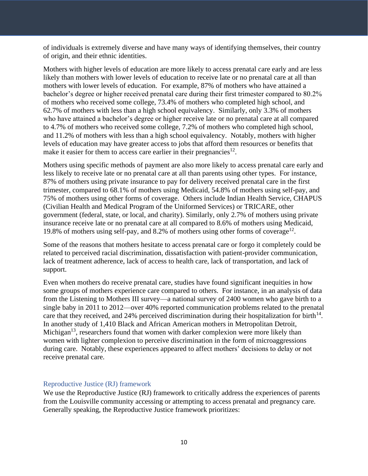of individuals is extremely diverse and have many ways of identifying themselves, their country of origin, and their ethnic identities.

Mothers with higher levels of education are more likely to access prenatal care early and are less likely than mothers with lower levels of education to receive late or no prenatal care at all than mothers with lower levels of education. For example, 87% of mothers who have attained a bachelor's degree or higher received prenatal care during their first trimester compared to 80.2% of mothers who received some college, 73.4% of mothers who completed high school, and 62.7% of mothers with less than a high school equivalency. Similarly, only 3.3% of mothers who have attained a bachelor's degree or higher receive late or no prenatal care at all compared to 4.7% of mothers who received some college, 7.2% of mothers who completed high school, and 11.2% of mothers with less than a high school equivalency. Notably, mothers with higher levels of education may have greater access to jobs that afford them resources or benefits that make it easier for them to access care earlier in their pregnancies<sup>12</sup>.

Mothers using specific methods of payment are also more likely to access prenatal care early and less likely to receive late or no prenatal care at all than parents using other types. For instance, 87% of mothers using private insurance to pay for delivery received prenatal care in the first trimester, compared to 68.1% of mothers using Medicaid, 54.8% of mothers using self-pay, and 75% of mothers using other forms of coverage. Others include Indian Health Service, CHAPUS (Civilian Health and Medical Program of the Uniformed Services) or TRICARE, other government (federal, state, or local, and charity). Similarly, only 2.7% of mothers using private insurance receive late or no prenatal care at all compared to 8.6% of mothers using Medicaid, 19.8% of mothers using self-pay, and 8.2% of mothers using other forms of coverage<sup>12</sup>.

Some of the reasons that mothers hesitate to access prenatal care or forgo it completely could be related to perceived racial discrimination, dissatisfaction with patient-provider communication, lack of treatment adherence, lack of access to health care, lack of transportation, and lack of support.

Even when mothers do receive prenatal care, studies have found significant inequities in how some groups of mothers experience care compared to others. For instance, in an analysis of data from the Listening to Mothers III survey—a national survey of 2400 women who gave birth to a single baby in 2011 to 2012—over 40% reported communication problems related to the prenatal care that they received, and 24% perceived discrimination during their hospitalization for birth $14$ . In another study of 1,410 Black and African American mothers in Metropolitan Detroit, Michigan<sup>13</sup>, researchers found that women with darker complexion were more likely than women with lighter complexion to perceive discrimination in the form of microaggressions during care. Notably, these experiences appeared to affect mothers' decisions to delay or not receive prenatal care.

## <span id="page-9-0"></span>Reproductive Justice (RJ) framework

We use the Reproductive Justice (RJ) framework to critically address the experiences of parents from the Louisville community accessing or attempting to access prenatal and pregnancy care. Generally speaking, the Reproductive Justice framework prioritizes: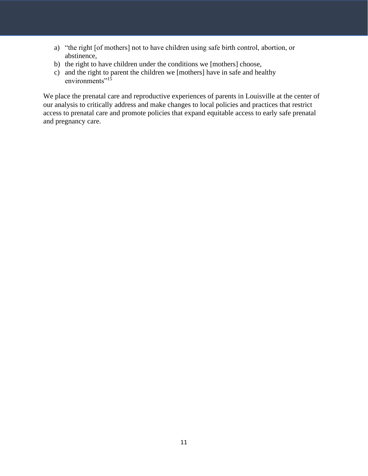- a) "the right [of mothers] not to have children using safe birth control, abortion, or abstinence,
- b) the right to have children under the conditions we [mothers] choose,
- c) and the right to parent the children we [mothers] have in safe and healthy environments" $1\overline{5}$

We place the prenatal care and reproductive experiences of parents in Louisville at the center of our analysis to critically address and make changes to local policies and practices that restrict access to prenatal care and promote policies that expand equitable access to early safe prenatal and pregnancy care.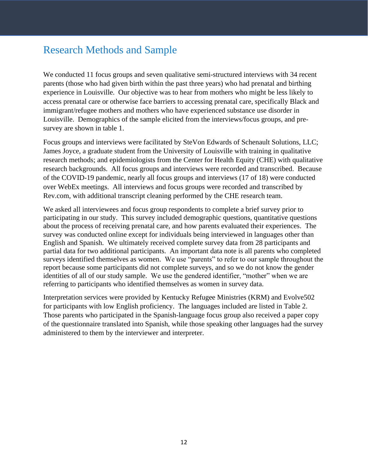# <span id="page-11-0"></span>Research Methods and Sample

We conducted 11 focus groups and seven qualitative semi-structured interviews with 34 recent parents (those who had given birth within the past three years) who had prenatal and birthing experience in Louisville. Our objective was to hear from mothers who might be less likely to access prenatal care or otherwise face barriers to accessing prenatal care, specifically Black and immigrant/refugee mothers and mothers who have experienced substance use disorder in Louisville. Demographics of the sample elicited from the interviews/focus groups, and presurvey are shown in table 1.

Focus groups and interviews were facilitated by SteVon Edwards of Schenault Solutions, LLC; James Joyce, a graduate student from the University of Louisville with training in qualitative research methods; and epidemiologists from the Center for Health Equity (CHE) with qualitative research backgrounds. All focus groups and interviews were recorded and transcribed. Because of the COVID-19 pandemic, nearly all focus groups and interviews (17 of 18) were conducted over WebEx meetings. All interviews and focus groups were recorded and transcribed by Rev.com, with additional transcript cleaning performed by the CHE research team.

We asked all interviewees and focus group respondents to complete a brief survey prior to participating in our study. This survey included demographic questions, quantitative questions about the process of receiving prenatal care, and how parents evaluated their experiences. The survey was conducted online except for individuals being interviewed in languages other than English and Spanish. We ultimately received complete survey data from 28 participants and partial data for two additional participants. An important data note is all parents who completed surveys identified themselves as women. We use "parents" to refer to our sample throughout the report because some participants did not complete surveys, and so we do not know the gender identities of all of our study sample. We use the gendered identifier, "mother" when we are referring to participants who identified themselves as women in survey data.

Interpretation services were provided by Kentucky Refugee Ministries (KRM) and Evolve502 for participants with low English proficiency. The languages included are listed in Table 2. Those parents who participated in the Spanish-language focus group also received a paper copy of the questionnaire translated into Spanish, while those speaking other languages had the survey administered to them by the interviewer and interpreter.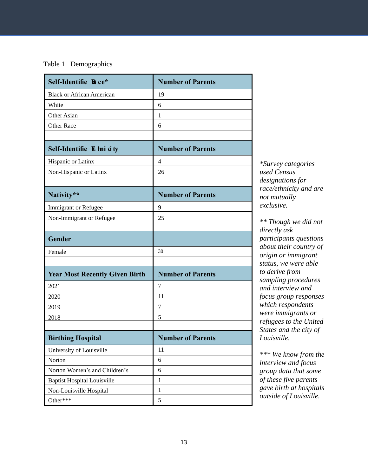# Table 1. Demographics

| Self-Identifie Race*                  | <b>Number of Parents</b> |
|---------------------------------------|--------------------------|
| <b>Black or African American</b>      | 19                       |
| White                                 | 6                        |
| Other Asian                           | 1                        |
| <b>Other Race</b>                     | 6                        |
|                                       |                          |
| Self-Identifie E lmi dty              | <b>Number of Parents</b> |
| Hispanic or Latinx                    | 4                        |
| Non-Hispanic or Latinx                | 26                       |
|                                       |                          |
| Nativity**                            | <b>Number of Parents</b> |
| <b>Immigrant or Refugee</b>           | 9                        |
| Non-Immigrant or Refugee              | 25                       |
|                                       |                          |
| Gender                                |                          |
| Female                                | 30                       |
|                                       |                          |
| <b>Year Most Recently Given Birth</b> | <b>Number of Parents</b> |
| 2021                                  | 7                        |
| 2020                                  | 11                       |
| 2019                                  | 7                        |
| 2018                                  | 5                        |
|                                       |                          |
| <b>Birthing Hospital</b>              | <b>Number of Parents</b> |
| University of Louisville              | 11                       |
| Norton                                | 6                        |
| Norton Women's and Children's         | 6                        |
| <b>Baptist Hospital Louisville</b>    | $\mathbf{1}$             |
| Non-Louisville Hospital               | $\,1$                    |
| Other***                              | 5                        |

*\*Survey categories used Census designations for race/ethnicity and are not mutually exclusive.*

*\*\* Though we did not directly ask participants questions about their country of origin or immigrant status, we were able to derive from sampling procedures and interview and focus group responses which respondents were immigrants or refugees to the United States and the city of Louisville.* 

*\*\*\* We know from the interview and focus group data that some of these five parents gave birth at hospitals outside of Louisville.*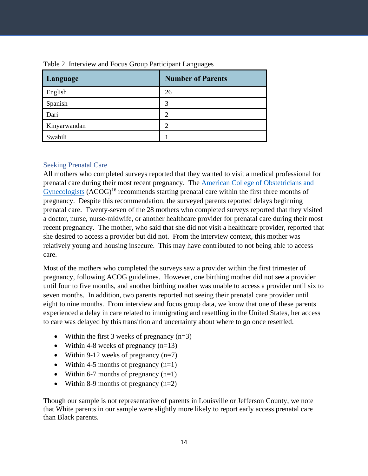| Language     | <b>Number of Parents</b> |
|--------------|--------------------------|
| English      | 26                       |
| Spanish      | 3                        |
| Dari         | $\mathcal{D}$            |
| Kinyarwandan | ာ                        |
| Swahili      |                          |

# Table 2. Interview and Focus Group Participant Languages

## <span id="page-13-0"></span>Seeking Prenatal Care

All mothers who completed surveys reported that they wanted to visit a medical professional for prenatal care during their most recent pregnancy. The [American College of Obstetricians and](https://www.acog.org/clinical-information/physician-faqs/-/media/3a22e153b67446a6b31fb051e469187c.ashx)   $Gynecologists$   $(ACOG)^{16}$  recommends starting prenatal care within the first three months of pregnancy. Despite this recommendation, the surveyed parents reported delays beginning prenatal care. Twenty-seven of the 28 mothers who completed surveys reported that they visited a doctor, nurse, nurse-midwife, or another healthcare provider for prenatal care during their most recent pregnancy. The mother, who said that she did not visit a healthcare provider, reported that she desired to access a provider but did not. From the interview context, this mother was relatively young and housing insecure. This may have contributed to not being able to access care.

Most of the mothers who completed the surveys saw a provider within the first trimester of pregnancy, following ACOG guidelines. However, one birthing mother did not see a provider until four to five months, and another birthing mother was unable to access a provider until six to seven months. In addition, two parents reported not seeing their prenatal care provider until eight to nine months. From interview and focus group data, we know that one of these parents experienced a delay in care related to immigrating and resettling in the United States, her access to care was delayed by this transition and uncertainty about where to go once resettled.

- Within the first 3 weeks of pregnancy  $(n=3)$
- Within 4-8 weeks of pregnancy  $(n=13)$
- Within 9-12 weeks of pregnancy  $(n=7)$
- Within 4-5 months of pregnancy  $(n=1)$
- Within 6-7 months of pregnancy  $(n=1)$
- Within 8-9 months of pregnancy  $(n=2)$

Though our sample is not representative of parents in Louisville or Jefferson County, we note that White parents in our sample were slightly more likely to report early access prenatal care than Black parents.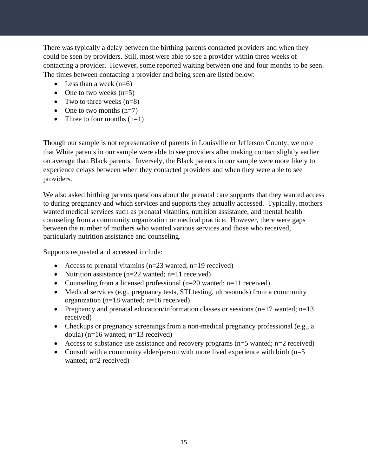There was typically a delay between the birthing parents contacted providers and when they could be seen by providers. Still, most were able to see a provider within three weeks of contacting a provider. However, some reported waiting between one and four months to be seen. The times between contacting a provider and being seen are listed below:

- Less than a week  $(n=6)$
- One to two weeks  $(n=5)$
- Two to three weeks  $(n=8)$
- One to two months  $(n=7)$
- Three to four months  $(n=1)$

Though our sample is not representative of parents in Louisville or Jefferson County, we note that White parents in our sample were able to see providers after making contact slightly earlier on average than Black parents. Inversely, the Black parents in our sample were more likely to experience delays between when they contacted providers and when they were able to see providers.

We also asked birthing parents questions about the prenatal care supports that they wanted access to during pregnancy and which services and supports they actually accessed. Typically, mothers wanted medical services such as prenatal vitamins, nutrition assistance, and mental health counseling from a community organization or medical practice. However, there were gaps between the number of mothers who wanted various services and those who received, particularly nutrition assistance and counseling.

Supports requested and accessed include:

- Access to prenatal vitamins  $(n=23 \text{ wanted}; n=19 \text{ received})$
- Nutrition assistance  $(n=22 \text{ wanted}; n=11 \text{ received})$
- Counseling from a licensed professional  $(n=20$  wanted;  $n=11$  received)
- Medical services (e.g., pregnancy tests, STI testing, ultrasounds) from a community organization (n=18 wanted; n=16 received)
- Pregnancy and prenatal education/information classes or sessions  $(n=17 \text{ wanted}; n=13$ received)
- Checkups or pregnancy screenings from a non-medical pregnancy professional (e.g., a doula)  $(n=16$  wanted;  $n=13$  received)
- Access to substance use assistance and recovery programs ( $n=5$  wanted;  $n=2$  received)
- Consult with a community elder/person with more lived experience with birth  $(n=5)$ wanted; n=2 received)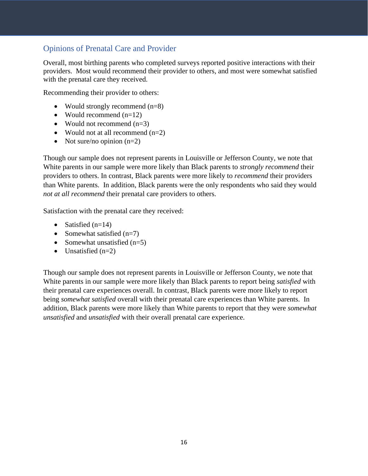# <span id="page-15-0"></span>Opinions of Prenatal Care and Provider

Overall, most birthing parents who completed surveys reported positive interactions with their providers. Most would recommend their provider to others, and most were somewhat satisfied with the prenatal care they received.

Recommending their provider to others:

- Would strongly recommend (n=8)
- Would recommend  $(n=12)$
- Would not recommend (n=3)
- Would not at all recommend  $(n=2)$
- Not sure/no opinion  $(n=2)$

Though our sample does not represent parents in Louisville or Jefferson County, we note that White parents in our sample were more likely than Black parents to *strongly recommend* their providers to others. In contrast, Black parents were more likely to *recommend* their providers than White parents. In addition, Black parents were the only respondents who said they would *not at all recommend* their prenatal care providers to others.

Satisfaction with the prenatal care they received:

- Satisfied  $(n=14)$
- Somewhat satisfied  $(n=7)$
- Somewhat unsatisfied  $(n=5)$
- Unsatisfied  $(n=2)$

Though our sample does not represent parents in Louisville or Jefferson County, we note that White parents in our sample were more likely than Black parents to report being *satisfied* with their prenatal care experiences overall. In contrast, Black parents were more likely to report being *somewhat satisfied* overall with their prenatal care experiences than White parents. In addition, Black parents were more likely than White parents to report that they were *somewhat unsatisfied* and *unsatisfied* with their overall prenatal care experience.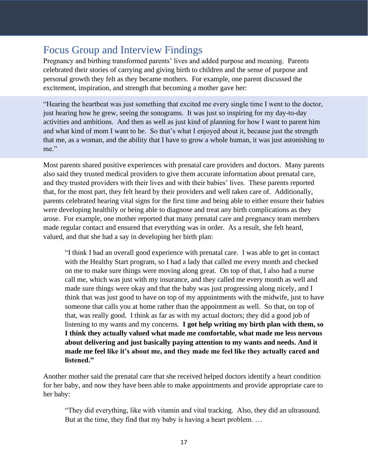# <span id="page-16-0"></span>Focus Group and Interview Findings

Pregnancy and birthing transformed parents' lives and added purpose and meaning. Parents celebrated their stories of carrying and giving birth to children and the sense of purpose and personal growth they felt as they became mothers. For example, one parent discussed the excitement, inspiration, and strength that becoming a mother gave her:

"Hearing the heartbeat was just something that excited me every single time I went to the doctor, just hearing how he grew, seeing the sonograms. It was just so inspiring for my day-to-day activities and ambitions. And then as well as just kind of planning for how I want to parent him and what kind of mom I want to be. So that's what I enjoyed about it, because just the strength that me, as a woman, and the ability that I have to grow a whole human, it was just astonishing to me."

Most parents shared positive experiences with prenatal care providers and doctors. Many parents also said they trusted medical providers to give them accurate information about prenatal care, and they trusted providers with their lives and with their babies' lives. These parents reported that, for the most part, they felt heard by their providers and well taken care of. Additionally, parents celebrated hearing vital signs for the first time and being able to either ensure their babies were developing healthily or being able to diagnose and treat any birth complications as they arose. For example, one mother reported that many prenatal care and pregnancy team members made regular contact and ensured that everything was in order. As a result, she felt heard, valued, and that she had a say in developing her birth plan:

"I think I had an overall good experience with prenatal care. I was able to get in contact with the Healthy Start program, so I had a lady that called me every month and checked on me to make sure things were moving along great. On top of that, I also had a nurse call me, which was just with my insurance, and they called me every month as well and made sure things were okay and that the baby was just progressing along nicely, and I think that was just good to have on top of my appointments with the midwife, just to have someone that calls you at home rather than the appointment as well. So that, on top of that, was really good. I think as far as with my actual doctors; they did a good job of listening to my wants and my concerns. **I got help writing my birth plan with them, so I think they actually valued what made me comfortable, what made me less nervous about delivering and just basically paying attention to my wants and needs. And it made me feel like it's about me, and they made me feel like they actually cared and listened."**

Another mother said the prenatal care that she received helped doctors identify a heart condition for her baby, and now they have been able to make appointments and provide appropriate care to her baby:

"They did everything, like with vitamin and vital tracking. Also, they did an ultrasound. But at the time, they find that my baby is having a heart problem. …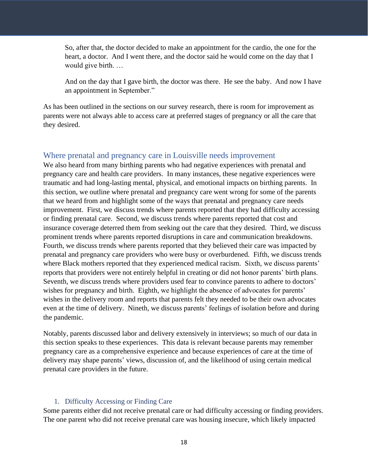So, after that, the doctor decided to make an appointment for the cardio, the one for the heart, a doctor. And I went there, and the doctor said he would come on the day that I would give birth. …

And on the day that I gave birth, the doctor was there. He see the baby. And now I have an appointment in September."

As has been outlined in the sections on our survey research, there is room for improvement as parents were not always able to access care at preferred stages of pregnancy or all the care that they desired.

## <span id="page-17-0"></span>Where prenatal and pregnancy care in Louisville needs improvement

We also heard from many birthing parents who had negative experiences with prenatal and pregnancy care and health care providers. In many instances, these negative experiences were traumatic and had long-lasting mental, physical, and emotional impacts on birthing parents. In this section, we outline where prenatal and pregnancy care went wrong for some of the parents that we heard from and highlight some of the ways that prenatal and pregnancy care needs improvement. First, we discuss trends where parents reported that they had difficulty accessing or finding prenatal care. Second, we discuss trends where parents reported that cost and insurance coverage deterred them from seeking out the care that they desired. Third, we discuss prominent trends where parents reported disruptions in care and communication breakdowns. Fourth, we discuss trends where parents reported that they believed their care was impacted by prenatal and pregnancy care providers who were busy or overburdened. Fifth, we discuss trends where Black mothers reported that they experienced medical racism. Sixth, we discuss parents' reports that providers were not entirely helpful in creating or did not honor parents' birth plans. Seventh, we discuss trends where providers used fear to convince parents to adhere to doctors' wishes for pregnancy and birth. Eighth, we highlight the absence of advocates for parents' wishes in the delivery room and reports that parents felt they needed to be their own advocates even at the time of delivery. Nineth, we discuss parents' feelings of isolation before and during the pandemic.

Notably, parents discussed labor and delivery extensively in interviews; so much of our data in this section speaks to these experiences. This data is relevant because parents may remember pregnancy care as a comprehensive experience and because experiences of care at the time of delivery may shape parents' views, discussion of, and the likelihood of using certain medical prenatal care providers in the future.

#### 1. Difficulty Accessing or Finding Care

<span id="page-17-1"></span>Some parents either did not receive prenatal care or had difficulty accessing or finding providers. The one parent who did not receive prenatal care was housing insecure, which likely impacted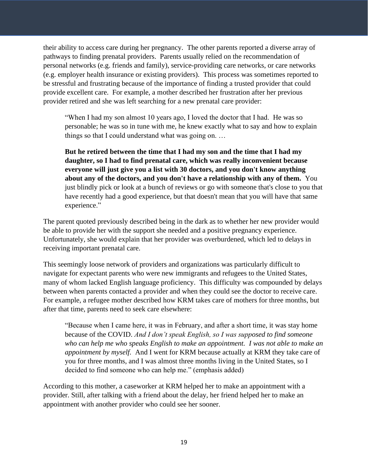their ability to access care during her pregnancy. The other parents reported a diverse array of pathways to finding prenatal providers. Parents usually relied on the recommendation of personal networks (e.g. friends and family), service-providing care networks, or care networks (e.g. employer health insurance or existing providers). This process was sometimes reported to be stressful and frustrating because of the importance of finding a trusted provider that could provide excellent care. For example, a mother described her frustration after her previous provider retired and she was left searching for a new prenatal care provider:

"When I had my son almost 10 years ago, I loved the doctor that I had. He was so personable; he was so in tune with me, he knew exactly what to say and how to explain things so that I could understand what was going on. …

**But he retired between the time that I had my son and the time that I had my daughter, so I had to find prenatal care, which was really inconvenient because everyone will just give you a list with 30 doctors, and you don't know anything about any of the doctors, and you don't have a relationship with any of them.** You just blindly pick or look at a bunch of reviews or go with someone that's close to you that have recently had a good experience, but that doesn't mean that you will have that same experience."

The parent quoted previously described being in the dark as to whether her new provider would be able to provide her with the support she needed and a positive pregnancy experience. Unfortunately, she would explain that her provider was overburdened, which led to delays in receiving important prenatal care.

This seemingly loose network of providers and organizations was particularly difficult to navigate for expectant parents who were new immigrants and refugees to the United States, many of whom lacked English language proficiency. This difficulty was compounded by delays between when parents contacted a provider and when they could see the doctor to receive care. For example, a refugee mother described how KRM takes care of mothers for three months, but after that time, parents need to seek care elsewhere:

"Because when I came here, it was in February, and after a short time, it was stay home because of the COVID. *And I don't speak English, so I was supposed to find someone who can help me who speaks English to make an appointment. I was not able to make an appointment by myself.* And I went for KRM because actually at KRM they take care of you for three months, and I was almost three months living in the United States, so I decided to find someone who can help me." (emphasis added)

According to this mother, a caseworker at KRM helped her to make an appointment with a provider. Still, after talking with a friend about the delay, her friend helped her to make an appointment with another provider who could see her sooner.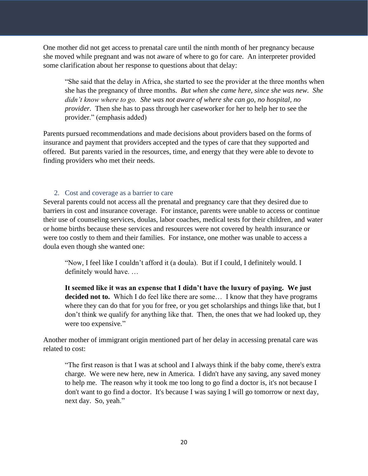One mother did not get access to prenatal care until the ninth month of her pregnancy because she moved while pregnant and was not aware of where to go for care. An interpreter provided some clarification about her response to questions about that delay:

"She said that the delay in Africa, she started to see the provider at the three months when she has the pregnancy of three months. *But when she came here, since she was new. She didn't know where to go. She was not aware of where she can go, no hospital, no provider.* Then she has to pass through her caseworker for her to help her to see the provider." (emphasis added)

Parents pursued recommendations and made decisions about providers based on the forms of insurance and payment that providers accepted and the types of care that they supported and offered. But parents varied in the resources, time, and energy that they were able to devote to finding providers who met their needs.

#### 2. Cost and coverage as a barrier to care

<span id="page-19-0"></span>Several parents could not access all the prenatal and pregnancy care that they desired due to barriers in cost and insurance coverage. For instance, parents were unable to access or continue their use of counseling services, doulas, labor coaches, medical tests for their children, and water or home births because these services and resources were not covered by health insurance or were too costly to them and their families. For instance, one mother was unable to access a doula even though she wanted one:

"Now, I feel like I couldn't afford it (a doula). But if I could, I definitely would. I definitely would have. …

**It seemed like it was an expense that I didn't have the luxury of paying. We just decided not to.** Which I do feel like there are some... I know that they have programs where they can do that for you for free, or you get scholarships and things like that, but I don't think we qualify for anything like that. Then, the ones that we had looked up, they were too expensive*.*"

Another mother of immigrant origin mentioned part of her delay in accessing prenatal care was related to cost:

"The first reason is that I was at school and I always think if the baby come, there's extra charge. We were new here, new in America. I didn't have any saving, any saved money to help me. The reason why it took me too long to go find a doctor is, it's not because I don't want to go find a doctor. It's because I was saying I will go tomorrow or next day, next day. So, yeah."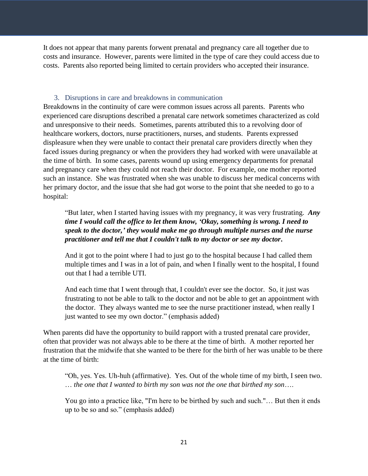It does not appear that many parents forwent prenatal and pregnancy care all together due to costs and insurance. However, parents were limited in the type of care they could access due to costs. Parents also reported being limited to certain providers who accepted their insurance.

# 3. Disruptions in care and breakdowns in communication

<span id="page-20-0"></span>Breakdowns in the continuity of care were common issues across all parents. Parents who experienced care disruptions described a prenatal care network sometimes characterized as cold and unresponsive to their needs. Sometimes, parents attributed this to a revolving door of healthcare workers, doctors, nurse practitioners, nurses, and students. Parents expressed displeasure when they were unable to contact their prenatal care providers directly when they faced issues during pregnancy or when the providers they had worked with were unavailable at the time of birth. In some cases, parents wound up using emergency departments for prenatal and pregnancy care when they could not reach their doctor. For example, one mother reported such an instance. She was frustrated when she was unable to discuss her medical concerns with her primary doctor, and the issue that she had got worse to the point that she needed to go to a hospital:

"But later, when I started having issues with my pregnancy, it was very frustrating. *Any time I would call the office to let them know, 'Okay, something is wrong. I need to speak to the doctor,' they would make me go through multiple nurses and the nurse practitioner and tell me that I couldn't talk to my doctor or see my doctor***.** 

And it got to the point where I had to just go to the hospital because I had called them multiple times and I was in a lot of pain, and when I finally went to the hospital, I found out that I had a terrible UTI.

And each time that I went through that, I couldn't ever see the doctor. So, it just was frustrating to not be able to talk to the doctor and not be able to get an appointment with the doctor. They always wanted me to see the nurse practitioner instead, when really I just wanted to see my own doctor." (emphasis added)

When parents did have the opportunity to build rapport with a trusted prenatal care provider, often that provider was not always able to be there at the time of birth. A mother reported her frustration that the midwife that she wanted to be there for the birth of her was unable to be there at the time of birth:

"Oh, yes. Yes. Uh-huh (affirmative). Yes. Out of the whole time of my birth, I seen two. … *the one that I wanted to birth my son was not the one that birthed my son*….

You go into a practice like, "I'm here to be birthed by such and such."… But then it ends up to be so and so." (emphasis added)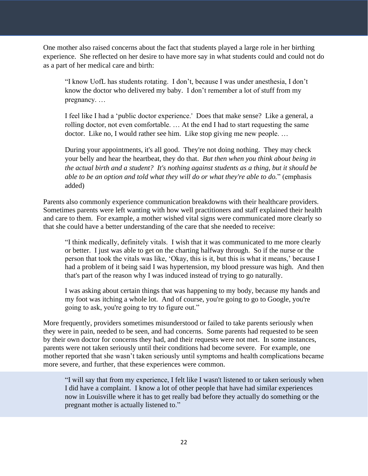One mother also raised concerns about the fact that students played a large role in her birthing experience. She reflected on her desire to have more say in what students could and could not do as a part of her medical care and birth:

"I know UofL has students rotating. I don't, because I was under anesthesia, I don't know the doctor who delivered my baby. I don't remember a lot of stuff from my pregnancy. …

I feel like I had a 'public doctor experience.' Does that make sense? Like a general, a rolling doctor, not even comfortable. … At the end I had to start requesting the same doctor. Like no, I would rather see him. Like stop giving me new people. …

During your appointments, it's all good. They're not doing nothing. They may check your belly and hear the heartbeat, they do that. *But then when you think about being in the actual birth and a student? It's nothing against students as a thing, but it should be able to be an option and told what they will do or what they're able to do.*" (emphasis added)

Parents also commonly experience communication breakdowns with their healthcare providers. Sometimes parents were left wanting with how well practitioners and staff explained their health and care to them. For example, a mother wished vital signs were communicated more clearly so that she could have a better understanding of the care that she needed to receive:

"I think medically, definitely vitals. I wish that it was communicated to me more clearly or better. I just was able to get on the charting halfway through. So if the nurse or the person that took the vitals was like, 'Okay, this is it, but this is what it means,' because I had a problem of it being said I was hypertension, my blood pressure was high. And then that's part of the reason why I was induced instead of trying to go naturally.

I was asking about certain things that was happening to my body, because my hands and my foot was itching a whole lot. And of course, you're going to go to Google, you're going to ask, you're going to try to figure out."

More frequently, providers sometimes misunderstood or failed to take parents seriously when they were in pain, needed to be seen, and had concerns. Some parents had requested to be seen by their own doctor for concerns they had, and their requests were not met. In some instances, parents were not taken seriously until their conditions had become severe. For example, one mother reported that she wasn't taken seriously until symptoms and health complications became more severe, and further, that these experiences were common.

"I will say that from my experience, I felt like I wasn't listened to or taken seriously when I did have a complaint. I know a lot of other people that have had similar experiences now in Louisville where it has to get really bad before they actually do something or the pregnant mother is actually listened to."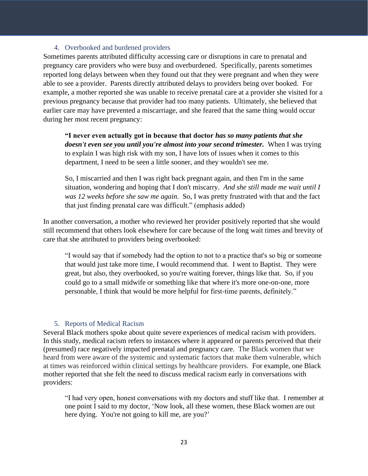## 4. Overbooked and burdened providers

<span id="page-22-0"></span>Sometimes parents attributed difficulty accessing care or disruptions in care to prenatal and pregnancy care providers who were busy and overburdened. Specifically, parents sometimes reported long delays between when they found out that they were pregnant and when they were able to see a provider. Parents directly attributed delays to providers being over booked. For example, a mother reported she was unable to receive prenatal care at a provider she visited for a previous pregnancy because that provider had too many patients. Ultimately, she believed that earlier care may have prevented a miscarriage, and she feared that the same thing would occur during her most recent pregnancy:

**"I never even actually got in because that doctor** *has so many patients that she doesn't even see you until you're almost into your second trimester.* When I was trying to explain I was high risk with my son, I have lots of issues when it comes to this department, I need to be seen a little sooner, and they wouldn't see me.

So, I miscarried and then I was right back pregnant again, and then I'm in the same situation, wondering and hoping that I don't miscarry. *And she still made me wait until I was 12 weeks before she saw me again*. So, I was pretty frustrated with that and the fact that just finding prenatal care was difficult." (emphasis added)

In another conversation, a mother who reviewed her provider positively reported that she would still recommend that others look elsewhere for care because of the long wait times and brevity of care that she attributed to providers being overbooked:

"I would say that if somebody had the option to not to a practice that's so big or someone that would just take more time, I would recommend that. I went to Baptist. They were great, but also, they overbooked, so you're waiting forever, things like that. So, if you could go to a small midwife or something like that where it's more one-on-one, more personable, I think that would be more helpful for first-time parents, definitely."

## 5. Reports of Medical Racism

<span id="page-22-1"></span>Several Black mothers spoke about quite severe experiences of medical racism with providers. In this study, medical racism refers to instances where it appeared or parents perceived that their (presumed) race negatively impacted prenatal and pregnancy care. The Black women that we heard from were aware of the systemic and systematic factors that make them vulnerable, which at times was reinforced within clinical settings by healthcare providers. For example, one Black mother reported that she felt the need to discuss medical racism early in conversations with providers:

"I had very open, honest conversations with my doctors and stuff like that. I remember at one point I said to my doctor, 'Now look, all these women, these Black women are out here dying. You're not going to kill me, are you?'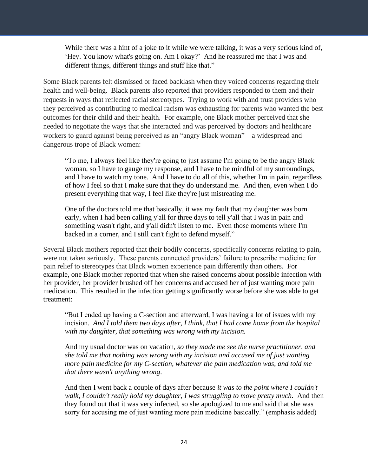While there was a hint of a joke to it while we were talking, it was a very serious kind of, 'Hey. You know what's going on. Am I okay?' And he reassured me that I was and different things, different things and stuff like that."

Some Black parents felt dismissed or faced backlash when they voiced concerns regarding their health and well-being. Black parents also reported that providers responded to them and their requests in ways that reflected racial stereotypes. Trying to work with and trust providers who they perceived as contributing to medical racism was exhausting for parents who wanted the best outcomes for their child and their health. For example, one Black mother perceived that she needed to negotiate the ways that she interacted and was perceived by doctors and healthcare workers to guard against being perceived as an "angry Black woman"—a widespread and dangerous trope of Black women:

"To me, I always feel like they're going to just assume I'm going to be the angry Black woman, so I have to gauge my response, and I have to be mindful of my surroundings, and I have to watch my tone. And I have to do all of this, whether I'm in pain, regardless of how I feel so that I make sure that they do understand me. And then, even when I do present everything that way, I feel like they're just mistreating me.

One of the doctors told me that basically, it was my fault that my daughter was born early, when I had been calling y'all for three days to tell y'all that I was in pain and something wasn't right, and y'all didn't listen to me. Even those moments where I'm backed in a corner, and I still can't fight to defend myself."

Several Black mothers reported that their bodily concerns, specifically concerns relating to pain, were not taken seriously. These parents connected providers' failure to prescribe medicine for pain relief to stereotypes that Black women experience pain differently than others. For example, one Black mother reported that when she raised concerns about possible infection with her provider, her provider brushed off her concerns and accused her of just wanting more pain medication. This resulted in the infection getting significantly worse before she was able to get treatment:

"But I ended up having a C-section and afterward, I was having a lot of issues with my incision. *And I told them two days after, I think, that I had come home from the hospital with my daughter, that something was wrong with my incision.*

And my usual doctor was on vacation, *so they made me see the nurse practitioner, and she told me that nothing was wrong with my incision and accused me of just wanting more pain medicine for my C-section, whatever the pain medication was, and told me that there wasn't anything wrong*.

And then I went back a couple of days after because *it was to the point where I couldn't walk, I couldn't really hold my daughter, I was struggling to move pretty much.* And then they found out that it was very infected, so she apologized to me and said that she was sorry for accusing me of just wanting more pain medicine basically." (emphasis added)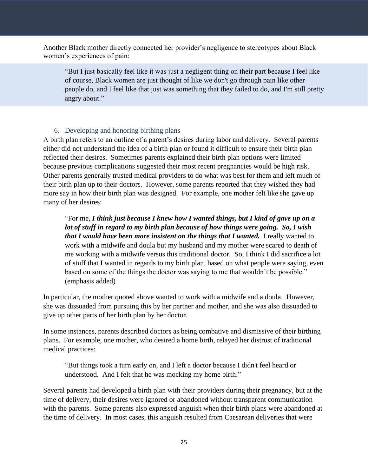Another Black mother directly connected her provider's negligence to stereotypes about Black women's experiences of pain:

"But I just basically feel like it was just a negligent thing on their part because I feel like of course, Black women are just thought of like we don't go through pain like other people do, and I feel like that just was something that they failed to do, and I'm still pretty angry about."

# 6. Developing and honoring birthing plans

<span id="page-24-0"></span>A birth plan refers to an outline of a parent's desires during labor and delivery. Several parents either did not understand the idea of a birth plan or found it difficult to ensure their birth plan reflected their desires. Sometimes parents explained their birth plan options were limited because previous complications suggested their most recent pregnancies would be high risk. Other parents generally trusted medical providers to do what was best for them and left much of their birth plan up to their doctors. However, some parents reported that they wished they had more say in how their birth plan was designed. For example, one mother felt like she gave up many of her desires:

"For me, *I think just because I knew how I wanted things, but I kind of gave up on a lot of stuff in regard to my birth plan because of how things were going. So, I wish that I would have been more insistent on the things that I wanted.* I really wanted to work with a midwife and doula but my husband and my mother were scared to death of me working with a midwife versus this traditional doctor. So, I think I did sacrifice a lot of stuff that I wanted in regards to my birth plan, based on what people were saying, even based on some of the things the doctor was saying to me that wouldn't be possible." (emphasis added)

In particular, the mother quoted above wanted to work with a midwife and a doula. However, she was dissuaded from pursuing this by her partner and mother, and she was also dissuaded to give up other parts of her birth plan by her doctor.

In some instances, parents described doctors as being combative and dismissive of their birthing plans. For example, one mother, who desired a home birth, relayed her distrust of traditional medical practices:

"But things took a turn early on, and I left a doctor because I didn't feel heard or understood. And I felt that he was mocking my home birth."

Several parents had developed a birth plan with their providers during their pregnancy, but at the time of delivery, their desires were ignored or abandoned without transparent communication with the parents. Some parents also expressed anguish when their birth plans were abandoned at the time of delivery. In most cases, this anguish resulted from Caesarean deliveries that were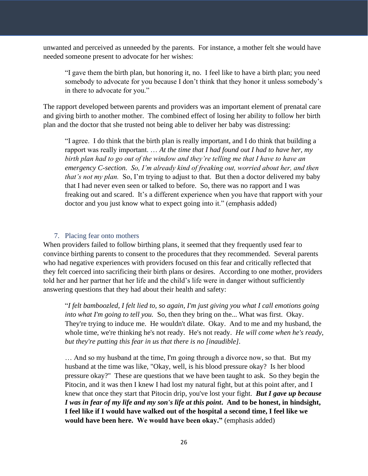unwanted and perceived as unneeded by the parents. For instance, a mother felt she would have needed someone present to advocate for her wishes:

"I gave them the birth plan, but honoring it, no. I feel like to have a birth plan; you need somebody to advocate for you because I don't think that they honor it unless somebody's in there to advocate for you."

The rapport developed between parents and providers was an important element of prenatal care and giving birth to another mother. The combined effect of losing her ability to follow her birth plan and the doctor that she trusted not being able to deliver her baby was distressing:

"I agree. I do think that the birth plan is really important, and I do think that building a rapport was really important. … *At the time that I had found out I had to have her, my birth plan had to go out of the window and they're telling me that I have to have an emergency C-section. So, I'm already kind of freaking out, worried about her, and then that's not my plan.* So, I'm trying to adjust to that. But then a doctor delivered my baby that I had never even seen or talked to before. So, there was no rapport and I was freaking out and scared. It's a different experience when you have that rapport with your doctor and you just know what to expect going into it." (emphasis added)

## 7. Placing fear onto mothers

<span id="page-25-0"></span>When providers failed to follow birthing plans, it seemed that they frequently used fear to convince birthing parents to consent to the procedures that they recommended. Several parents who had negative experiences with providers focused on this fear and critically reflected that they felt coerced into sacrificing their birth plans or desires. According to one mother, providers told her and her partner that her life and the child's life were in danger without sufficiently answering questions that they had about their health and safety:

"*I felt bamboozled, I felt lied to, so again, I'm just giving you what I call emotions going into what I'm going to tell you.* So, then they bring on the... What was first. Okay. They're trying to induce me. He wouldn't dilate. Okay. And to me and my husband, the whole time, we're thinking he's not ready. He's not ready. *He will come when he's ready, but they're putting this fear in us that there is no [inaudible].*

… And so my husband at the time, I'm going through a divorce now, so that. But my husband at the time was like, "Okay, well, is his blood pressure okay? Is her blood pressure okay?" These are questions that we have been taught to ask. So they begin the Pitocin, and it was then I knew I had lost my natural fight, but at this point after, and I knew that once they start that Pitocin drip, you've lost your fight. *But I gave up because I was in fear of my life and my son's life at this point***. And to be honest, in hindsight, I feel like if I would have walked out of the hospital a second time, I feel like we would have been here. We would have been okay."** (emphasis added)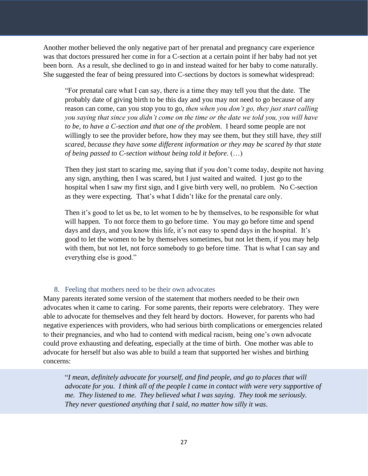Another mother believed the only negative part of her prenatal and pregnancy care experience was that doctors pressured her come in for a C-section at a certain point if her baby had not yet been born. As a result, she declined to go in and instead waited for her baby to come naturally. She suggested the fear of being pressured into C-sections by doctors is somewhat widespread:

"For prenatal care what I can say, there is a time they may tell you that the date. The probably date of giving birth to be this day and you may not need to go because of any reason can come, can you stop you to go, *then when you don't go, they just start calling you saying that since you didn't come on the time or the date we told you, you will have to be, to have a C-section and that one of the problem*. I heard some people are not willingly to see the provider before, how they may see them, but they still have, *they still scared, because they have some different information or they may be scared by that state of being passed to C-section without being told it before*. (…)

Then they just start to scaring me, saying that if you don't come today, despite not having any sign, anything, then I was scared, but I just waited and waited. I just go to the hospital when I saw my first sign, and I give birth very well, no problem. No C-section as they were expecting. That's what I didn't like for the prenatal care only.

Then it's good to let us be, to let women to be by themselves, to be responsible for what will happen. To not force them to go before time. You may go before time and spend days and days, and you know this life, it's not easy to spend days in the hospital. It's good to let the women to be by themselves sometimes, but not let them, if you may help with them, but not let, not force somebody to go before time. That is what I can say and everything else is good."

## 8. Feeling that mothers need to be their own advocates

<span id="page-26-0"></span>Many parents iterated some version of the statement that mothers needed to be their own advocates when it came to caring. For some parents, their reports were celebratory. They were able to advocate for themselves and they felt heard by doctors. However, for parents who had negative experiences with providers, who had serious birth complications or emergencies related to their pregnancies, and who had to contend with medical racism, being one's own advocate could prove exhausting and defeating, especially at the time of birth. One mother was able to advocate for herself but also was able to build a team that supported her wishes and birthing concerns:

"*I mean, definitely advocate for yourself, and find people, and go to places that will advocate for you. I think all of the people I came in contact with were very supportive of me. They listened to me. They believed what I was saying. They took me seriously. They never questioned anything that I said, no matter how silly it was*.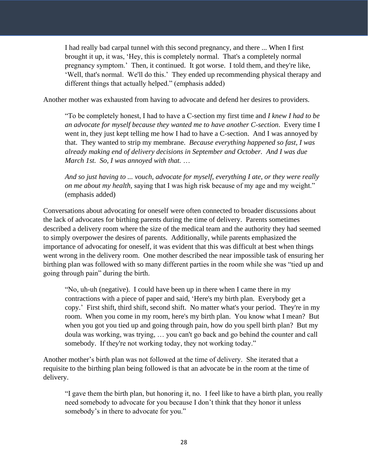I had really bad carpal tunnel with this second pregnancy, and there ... When I first brought it up, it was, 'Hey, this is completely normal. That's a completely normal pregnancy symptom.' Then, it continued. It got worse. I told them, and they're like, 'Well, that's normal. We'll do this.' They ended up recommending physical therapy and different things that actually helped." (emphasis added)

Another mother was exhausted from having to advocate and defend her desires to providers.

"To be completely honest, I had to have a C-section my first time and *I knew I had to be an advocate for myself because they wanted me to have another C-section*. Every time I went in, they just kept telling me how I had to have a C-section. And I was annoyed by that. They wanted to strip my membrane. *Because everything happened so fast, I was already making end of delivery decisions in September and October. And I was due March 1st. So, I was annoyed with that.* …

*And so just having to ... vouch, advocate for myself, everything I ate, or they were really on me about my health,* saying that I was high risk because of my age and my weight." (emphasis added)

Conversations about advocating for oneself were often connected to broader discussions about the lack of advocates for birthing parents during the time of delivery. Parents sometimes described a delivery room where the size of the medical team and the authority they had seemed to simply overpower the desires of parents. Additionally, while parents emphasized the importance of advocating for oneself, it was evident that this was difficult at best when things went wrong in the delivery room. One mother described the near impossible task of ensuring her birthing plan was followed with so many different parties in the room while she was "tied up and going through pain" during the birth.

"No, uh-uh (negative). I could have been up in there when I came there in my contractions with a piece of paper and said, 'Here's my birth plan. Everybody get a copy.' First shift, third shift, second shift. No matter what's your period. They're in my room. When you come in my room, here's my birth plan. You know what I mean? But when you got you tied up and going through pain, how do you spell birth plan? But my doula was working, was trying, … you can't go back and go behind the counter and call somebody. If they're not working today, they not working today."

Another mother's birth plan was not followed at the time of delivery. She iterated that a requisite to the birthing plan being followed is that an advocate be in the room at the time of delivery.

"I gave them the birth plan, but honoring it, no. I feel like to have a birth plan, you really need somebody to advocate for you because I don't think that they honor it unless somebody's in there to advocate for you."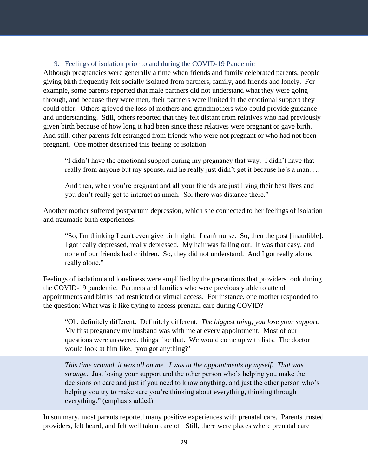## 9. Feelings of isolation prior to and during the COVID-19 Pandemic

<span id="page-28-0"></span>Although pregnancies were generally a time when friends and family celebrated parents, people giving birth frequently felt socially isolated from partners, family, and friends and lonely. For example, some parents reported that male partners did not understand what they were going through, and because they were men, their partners were limited in the emotional support they could offer. Others grieved the loss of mothers and grandmothers who could provide guidance and understanding. Still, others reported that they felt distant from relatives who had previously given birth because of how long it had been since these relatives were pregnant or gave birth. And still, other parents felt estranged from friends who were not pregnant or who had not been pregnant. One mother described this feeling of isolation:

"I didn't have the emotional support during my pregnancy that way. I didn't have that really from anyone but my spouse, and he really just didn't get it because he's a man. …

And then, when you're pregnant and all your friends are just living their best lives and you don't really get to interact as much. So, there was distance there."

Another mother suffered postpartum depression, which she connected to her feelings of isolation and traumatic birth experiences:

"So, I'm thinking I can't even give birth right. I can't nurse. So, then the post [inaudible]. I got really depressed, really depressed. My hair was falling out. It was that easy, and none of our friends had children. So, they did not understand. And I got really alone, really alone."

Feelings of isolation and loneliness were amplified by the precautions that providers took during the COVID-19 pandemic. Partners and families who were previously able to attend appointments and births had restricted or virtual access. For instance, one mother responded to the question: What was it like trying to access prenatal care during COVID?

"Oh, definitely different. Definitely different. *The biggest thing, you lose your support*. My first pregnancy my husband was with me at every appointment. Most of our questions were answered, things like that. We would come up with lists. The doctor would look at him like, 'you got anything?'

*This time around, it was all on me. I was at the appointments by myself. That was strange.* Just losing your support and the other person who's helping you make the decisions on care and just if you need to know anything, and just the other person who's helping you try to make sure you're thinking about everything, thinking through everything." (emphasis added)

In summary, most parents reported many positive experiences with prenatal care. Parents trusted providers, felt heard, and felt well taken care of. Still, there were places where prenatal care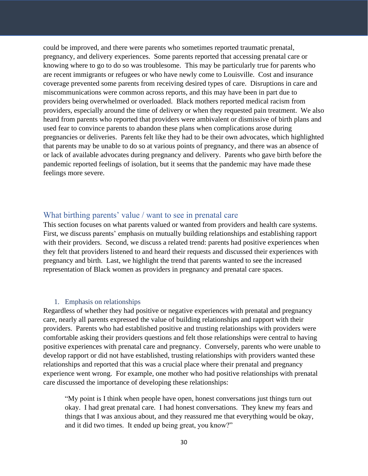could be improved, and there were parents who sometimes reported traumatic prenatal, pregnancy, and delivery experiences. Some parents reported that accessing prenatal care or knowing where to go to do so was troublesome. This may be particularly true for parents who are recent immigrants or refugees or who have newly come to Louisville. Cost and insurance coverage prevented some parents from receiving desired types of care. Disruptions in care and miscommunications were common across reports, and this may have been in part due to providers being overwhelmed or overloaded. Black mothers reported medical racism from providers, especially around the time of delivery or when they requested pain treatment. We also heard from parents who reported that providers were ambivalent or dismissive of birth plans and used fear to convince parents to abandon these plans when complications arose during pregnancies or deliveries. Parents felt like they had to be their own advocates, which highlighted that parents may be unable to do so at various points of pregnancy, and there was an absence of or lack of available advocates during pregnancy and delivery. Parents who gave birth before the pandemic reported feelings of isolation, but it seems that the pandemic may have made these feelings more severe.

# <span id="page-29-0"></span>What birthing parents' value / want to see in prenatal care

This section focuses on what parents valued or wanted from providers and health care systems. First, we discuss parents' emphasis on mutually building relationships and establishing rapport with their providers. Second, we discuss a related trend: parents had positive experiences when they felt that providers listened to and heard their requests and discussed their experiences with pregnancy and birth. Last, we highlight the trend that parents wanted to see the increased representation of Black women as providers in pregnancy and prenatal care spaces.

#### 1. Emphasis on relationships

<span id="page-29-1"></span>Regardless of whether they had positive or negative experiences with prenatal and pregnancy care, nearly all parents expressed the value of building relationships and rapport with their providers. Parents who had established positive and trusting relationships with providers were comfortable asking their providers questions and felt those relationships were central to having positive experiences with prenatal care and pregnancy. Conversely, parents who were unable to develop rapport or did not have established, trusting relationships with providers wanted these relationships and reported that this was a crucial place where their prenatal and pregnancy experience went wrong. For example, one mother who had positive relationships with prenatal care discussed the importance of developing these relationships:

"My point is I think when people have open, honest conversations just things turn out okay. I had great prenatal care. I had honest conversations. They knew my fears and things that I was anxious about, and they reassured me that everything would be okay, and it did two times. It ended up being great, you know?"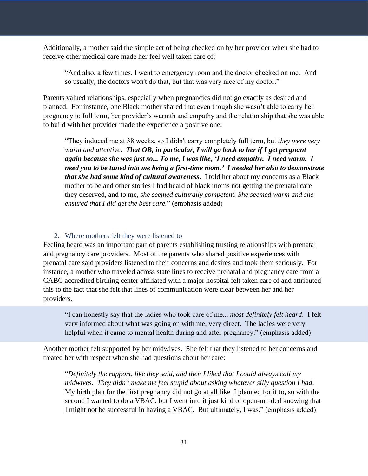Additionally, a mother said the simple act of being checked on by her provider when she had to receive other medical care made her feel well taken care of:

"And also, a few times, I went to emergency room and the doctor checked on me. And so usually, the doctors won't do that, but that was very nice of my doctor."

Parents valued relationships, especially when pregnancies did not go exactly as desired and planned. For instance, one Black mother shared that even though she wasn't able to carry her pregnancy to full term, her provider's warmth and empathy and the relationship that she was able to build with her provider made the experience a positive one:

"They induced me at 38 weeks, so I didn't carry completely full term, but *they were very warm and attentive*. *That OB, in particular, I will go back to her if I get pregnant again because she was just so... To me, I was like, 'I need empathy. I need warm. I need you to be tuned into me being a first-time mom.' I needed her also to demonstrate that she had some kind of cultural awareness***.** I told her about my concerns as a Black mother to be and other stories I had heard of black moms not getting the prenatal care they deserved, and to me, *she seemed culturally competent. She seemed warm and she ensured that I did get the best care.*" (emphasis added)

## 2. Where mothers felt they were listened to

<span id="page-30-0"></span>Feeling heard was an important part of parents establishing trusting relationships with prenatal and pregnancy care providers. Most of the parents who shared positive experiences with prenatal care said providers listened to their concerns and desires and took them seriously. For instance, a mother who traveled across state lines to receive prenatal and pregnancy care from a CABC accredited birthing center affiliated with a major hospital felt taken care of and attributed this to the fact that she felt that lines of communication were clear between her and her providers.

"I can honestly say that the ladies who took care of me... *most definitely felt heard*. I felt very informed about what was going on with me, very direct. The ladies were very helpful when it came to mental health during and after pregnancy." (emphasis added)

Another mother felt supported by her midwives. She felt that they listened to her concerns and treated her with respect when she had questions about her care:

"*Definitely the rapport, like they said, and then I liked that I could always call my midwives. They didn't make me feel stupid about asking whatever silly question I had*. My birth plan for the first pregnancy did not go at all like I planned for it to, so with the second I wanted to do a VBAC, but I went into it just kind of open-minded knowing that I might not be successful in having a VBAC. But ultimately, I was." (emphasis added)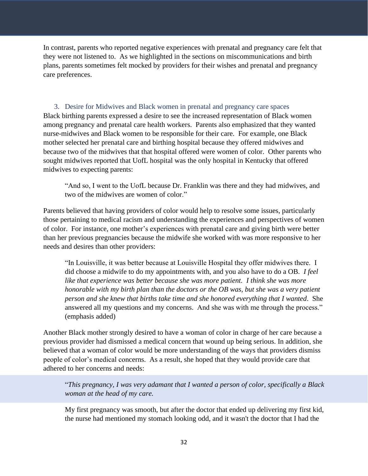In contrast, parents who reported negative experiences with prenatal and pregnancy care felt that they were not listened to. As we highlighted in the sections on miscommunications and birth plans, parents sometimes felt mocked by providers for their wishes and prenatal and pregnancy care preferences.

<span id="page-31-0"></span>3. Desire for Midwives and Black women in prenatal and pregnancy care spaces Black birthing parents expressed a desire to see the increased representation of Black women among pregnancy and prenatal care health workers. Parents also emphasized that they wanted nurse-midwives and Black women to be responsible for their care. For example, one Black mother selected her prenatal care and birthing hospital because they offered midwives and because two of the midwives that that hospital offered were women of color. Other parents who sought midwives reported that UofL hospital was the only hospital in Kentucky that offered midwives to expecting parents:

"And so, I went to the UofL because Dr. Franklin was there and they had midwives, and two of the midwives are women of color."

Parents believed that having providers of color would help to resolve some issues, particularly those pertaining to medical racism and understanding the experiences and perspectives of women of color. For instance, one mother's experiences with prenatal care and giving birth were better than her previous pregnancies because the midwife she worked with was more responsive to her needs and desires than other providers:

"In Louisville, it was better because at Louisville Hospital they offer midwives there. I did choose a midwife to do my appointments with, and you also have to do a OB. *I feel like that experience was better because she was more patient. I think she was more honorable with my birth plan than the doctors or the OB was, but she was a very patient person and she knew that births take time and she honored everything that I wanted*. She answered all my questions and my concerns. And she was with me through the process." (emphasis added)

Another Black mother strongly desired to have a woman of color in charge of her care because a previous provider had dismissed a medical concern that wound up being serious. In addition, she believed that a woman of color would be more understanding of the ways that providers dismiss people of color's medical concerns. As a result, she hoped that they would provide care that adhered to her concerns and needs:

"*This pregnancy, I was very adamant that I wanted a person of color, specifically a Black woman at the head of my care.*

My first pregnancy was smooth, but after the doctor that ended up delivering my first kid, the nurse had mentioned my stomach looking odd, and it wasn't the doctor that I had the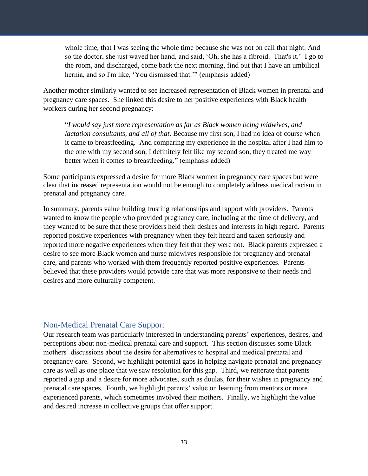whole time, that I was seeing the whole time because she was not on call that night. And so the doctor, she just waved her hand, and said, 'Oh, she has a fibroid. That's it.' I go to the room, and discharged, come back the next morning, find out that I have an umbilical hernia, and so I'm like, 'You dismissed that.'" (emphasis added)

Another mother similarly wanted to see increased representation of Black women in prenatal and pregnancy care spaces. She linked this desire to her positive experiences with Black health workers during her second pregnancy:

"*I would say just more representation as far as Black women being midwives, and lactation consultants, and all of that*. Because my first son, I had no idea of course when it came to breastfeeding. And comparing my experience in the hospital after I had him to the one with my second son, I definitely felt like my second son, they treated me way better when it comes to breastfeeding." (emphasis added)

Some participants expressed a desire for more Black women in pregnancy care spaces but were clear that increased representation would not be enough to completely address medical racism in prenatal and pregnancy care.

In summary, parents value building trusting relationships and rapport with providers. Parents wanted to know the people who provided pregnancy care, including at the time of delivery, and they wanted to be sure that these providers held their desires and interests in high regard. Parents reported positive experiences with pregnancy when they felt heard and taken seriously and reported more negative experiences when they felt that they were not. Black parents expressed a desire to see more Black women and nurse midwives responsible for pregnancy and prenatal care, and parents who worked with them frequently reported positive experiences. Parents believed that these providers would provide care that was more responsive to their needs and desires and more culturally competent.

# <span id="page-32-0"></span>Non-Medical Prenatal Care Support

Our research team was particularly interested in understanding parents' experiences, desires, and perceptions about non-medical prenatal care and support. This section discusses some Black mothers' discussions about the desire for alternatives to hospital and medical prenatal and pregnancy care. Second, we highlight potential gaps in helping navigate prenatal and pregnancy care as well as one place that we saw resolution for this gap. Third, we reiterate that parents reported a gap and a desire for more advocates, such as doulas, for their wishes in pregnancy and prenatal care spaces. Fourth, we highlight parents' value on learning from mentors or more experienced parents, which sometimes involved their mothers. Finally, we highlight the value and desired increase in collective groups that offer support.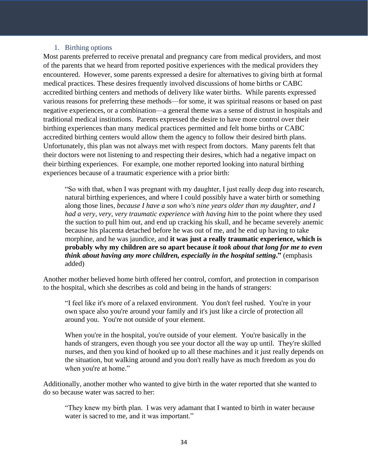#### 1. Birthing options

<span id="page-33-0"></span>Most parents preferred to receive prenatal and pregnancy care from medical providers, and most of the parents that we heard from reported positive experiences with the medical providers they encountered. However, some parents expressed a desire for alternatives to giving birth at formal medical practices. These desires frequently involved discussions of home births or CABC accredited birthing centers and methods of delivery like water births. While parents expressed various reasons for preferring these methods—for some, it was spiritual reasons or based on past negative experiences, or a combination—a general theme was a sense of distrust in hospitals and traditional medical institutions. Parents expressed the desire to have more control over their birthing experiences than many medical practices permitted and felt home births or CABC accredited birthing centers would allow them the agency to follow their desired birth plans. Unfortunately, this plan was not always met with respect from doctors. Many parents felt that their doctors were not listening to and respecting their desires, which had a negative impact on their birthing experiences. For example, one mother reported looking into natural birthing experiences because of a traumatic experience with a prior birth:

"So with that, when I was pregnant with my daughter, I just really deep dug into research, natural birthing experiences, and where I could possibly have a water birth or something along those lines*, because I have a son who's nine years older than my daughter, and I had a very, very, very traumatic experience with having him* to the point where they used the suction to pull him out, and end up cracking his skull, and he became severely anemic because his placenta detached before he was out of me, and he end up having to take morphine, and he was jaundice, and **it was just a really traumatic experience, which is probably why my children are so apart because** *it took about that long for me to even think about having any more children, especially in the hospital setting***."** (emphasis added)

Another mother believed home birth offered her control, comfort, and protection in comparison to the hospital, which she describes as cold and being in the hands of strangers:

"I feel like it's more of a relaxed environment. You don't feel rushed. You're in your own space also you're around your family and it's just like a circle of protection all around you. You're not outside of your element.

When you're in the hospital, you're outside of your element. You're basically in the hands of strangers, even though you see your doctor all the way up until. They're skilled nurses, and then you kind of hooked up to all these machines and it just really depends on the situation, but walking around and you don't really have as much freedom as you do when you're at home."

Additionally, another mother who wanted to give birth in the water reported that she wanted to do so because water was sacred to her:

"They knew my birth plan. I was very adamant that I wanted to birth in water because water is sacred to me, and it was important."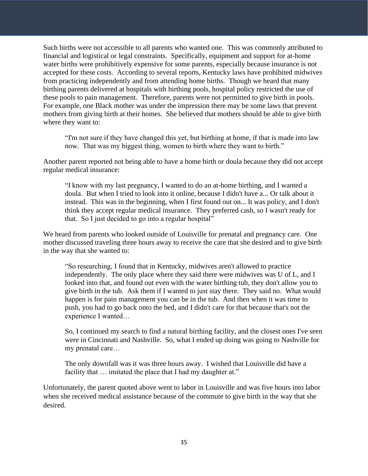Such births were not accessible to all parents who wanted one. This was commonly attributed to financial and logistical or legal constraints. Specifically, equipment and support for at-home water births were prohibitively expensive for some parents, especially because insurance is not accepted for these costs. According to several reports, Kentucky laws have prohibited midwives from practicing independently and from attending home births. Though we heard that many birthing parents delivered at hospitals with birthing pools, hospital policy restricted the use of these pools to pain management. Therefore, parents were not permitted to give birth in pools. For example, one Black mother was under the impression there may be some laws that prevent mothers from giving birth at their homes. She believed that mothers should be able to give birth where they want to:

"I'm not sure if they have changed this yet, but birthing at home, if that is made into law now. That was my biggest thing, women to birth where they want to birth."

Another parent reported not being able to have a home birth or doula because they did not accept regular medical insurance:

"I know with my last pregnancy, I wanted to do an at-home birthing, and I wanted a doula. But when I tried to look into it online, because I didn't have a... Or talk about it instead. This was in the beginning, when I first found out on... It was policy, and I don't think they accept regular medical insurance. They preferred cash, so I wasn't ready for that. So I just decided to go into a regular hospital"

We heard from parents who looked outside of Louisville for prenatal and pregnancy care. One mother discussed traveling three hours away to receive the care that she desired and to give birth in the way that she wanted to:

"So researching, I found that in Kentucky, midwives aren't allowed to practice independently. The only place where they said there were midwives was U of L, and I looked into that, and found out even with the water birthing tub, they don't allow you to give birth in the tub. Ask them if I wanted to just stay there. They said no. What would happen is for pain management you can be in the tub. And then when it was time to push, you had to go back onto the bed, and I didn't care for that because that's not the experience I wanted…

So, I continued my search to find a natural birthing facility, and the closest ones I've seen were in Cincinnati and Nashville. So, what I ended up doing was going to Nashville for my prenatal care…

The only downfall was it was three hours away. I wished that Louisville did have a facility that ... imitated the place that I had my daughter at."

Unfortunately, the parent quoted above went to labor in Louisville and was five hours into labor when she received medical assistance because of the commute to give birth in the way that she desired.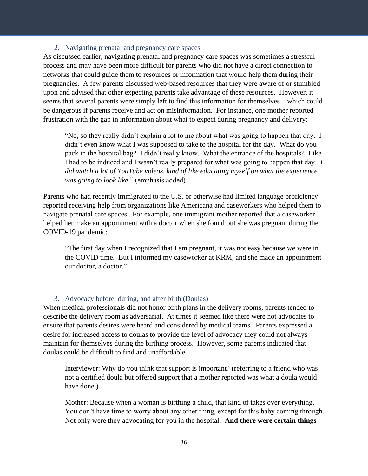#### 2. Navigating prenatal and pregnancy care spaces

<span id="page-35-0"></span>As discussed earlier, navigating prenatal and pregnancy care spaces was sometimes a stressful process and may have been more difficult for parents who did not have a direct connection to networks that could guide them to resources or information that would help them during their pregnancies. A few parents discussed web-based resources that they were aware of or stumbled upon and advised that other expecting parents take advantage of these resources. However, it seems that several parents were simply left to find this information for themselves—which could be dangerous if parents receive and act on misinformation. For instance, one mother reported frustration with the gap in information about what to expect during pregnancy and delivery:

"No, so they really didn't explain a lot to me about what was going to happen that day. I didn't even know what I was supposed to take to the hospital for the day. What do you pack in the hospital bag? I didn't really know. What the entrance of the hospitals? Like I had to be induced and I wasn't really prepared for what was going to happen that day. *I did watch a lot of YouTube videos, kind of like educating myself on what the experience was going to look like*." (emphasis added)

Parents who had recently immigrated to the U.S. or otherwise had limited language proficiency reported receiving help from organizations like Americana and caseworkers who helped them to navigate prenatal care spaces. For example, one immigrant mother reported that a caseworker helped her make an appointment with a doctor when she found out she was pregnant during the COVID-19 pandemic:

"The first day when I recognized that I am pregnant, it was not easy because we were in the COVID time. But I informed my caseworker at KRM, and she made an appointment our doctor, a doctor."

#### 3. Advocacy before, during, and after birth (Doulas)

<span id="page-35-1"></span>When medical professionals did not honor birth plans in the delivery rooms, parents tended to describe the delivery room as adversarial. At times it seemed like there were not advocates to ensure that parents desires were heard and considered by medical teams. Parents expressed a desire for increased access to doulas to provide the level of advocacy they could not always maintain for themselves during the birthing process. However, some parents indicated that doulas could be difficult to find and unaffordable.

Interviewer: Why do you think that support is important? (referring to a friend who was not a certified doula but offered support that a mother reported was what a doula would have done.)

Mother: Because when a woman is birthing a child, that kind of takes over everything. You don't have time to worry about any other thing, except for this baby coming through. Not only were they advocating for you in the hospital. **And there were certain things**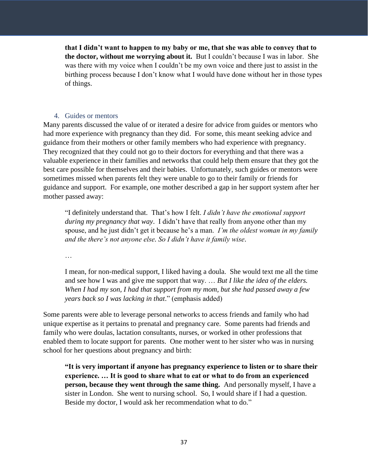**that I didn't want to happen to my baby or me, that she was able to convey that to the doctor, without me worrying about it.** But I couldn't because I was in labor. She was there with my voice when I couldn't be my own voice and there just to assist in the birthing process because I don't know what I would have done without her in those types of things.

## 4. Guides or mentors

<span id="page-36-0"></span>Many parents discussed the value of or iterated a desire for advice from guides or mentors who had more experience with pregnancy than they did. For some, this meant seeking advice and guidance from their mothers or other family members who had experience with pregnancy. They recognized that they could not go to their doctors for everything and that there was a valuable experience in their families and networks that could help them ensure that they got the best care possible for themselves and their babies. Unfortunately, such guides or mentors were sometimes missed when parents felt they were unable to go to their family or friends for guidance and support. For example, one mother described a gap in her support system after her mother passed away:

"I definitely understand that. That's how I felt. *I didn't have the emotional support during my pregnancy that way*. I didn't have that really from anyone other than my spouse, and he just didn't get it because he's a man. *I'm the oldest woman in my family and the there's not anyone else. So I didn't have it family wise*.

…

I mean, for non-medical support, I liked having a doula. She would text me all the time and see how I was and give me support that way. … *But I like the idea of the elders. When I had my son, I had that support from my mom, but she had passed away a few years back so I was lacking in that*." (emphasis added)

Some parents were able to leverage personal networks to access friends and family who had unique expertise as it pertains to prenatal and pregnancy care. Some parents had friends and family who were doulas, lactation consultants, nurses, or worked in other professions that enabled them to locate support for parents. One mother went to her sister who was in nursing school for her questions about pregnancy and birth:

**"It is very important if anyone has pregnancy experience to listen or to share their experience. … It is good to share what to eat or what to do from an experienced person, because they went through the same thing.** And personally myself, I have a sister in London. She went to nursing school. So, I would share if I had a question. Beside my doctor, I would ask her recommendation what to do."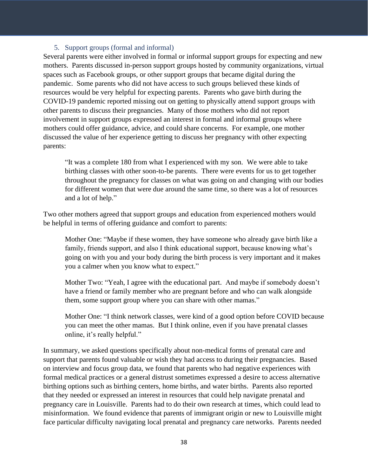#### 5. Support groups (formal and informal)

<span id="page-37-0"></span>Several parents were either involved in formal or informal support groups for expecting and new mothers. Parents discussed in-person support groups hosted by community organizations, virtual spaces such as Facebook groups, or other support groups that became digital during the pandemic. Some parents who did not have access to such groups believed these kinds of resources would be very helpful for expecting parents. Parents who gave birth during the COVID-19 pandemic reported missing out on getting to physically attend support groups with other parents to discuss their pregnancies. Many of those mothers who did not report involvement in support groups expressed an interest in formal and informal groups where mothers could offer guidance, advice, and could share concerns. For example, one mother discussed the value of her experience getting to discuss her pregnancy with other expecting parents:

"It was a complete 180 from what I experienced with my son. We were able to take birthing classes with other soon-to-be parents. There were events for us to get together throughout the pregnancy for classes on what was going on and changing with our bodies for different women that were due around the same time, so there was a lot of resources and a lot of help."

Two other mothers agreed that support groups and education from experienced mothers would be helpful in terms of offering guidance and comfort to parents:

Mother One: "Maybe if these women, they have someone who already gave birth like a family, friends support, and also I think educational support, because knowing what's going on with you and your body during the birth process is very important and it makes you a calmer when you know what to expect."

Mother Two: "Yeah, I agree with the educational part. And maybe if somebody doesn't have a friend or family member who are pregnant before and who can walk alongside them, some support group where you can share with other mamas."

Mother One: "I think network classes, were kind of a good option before COVID because you can meet the other mamas. But I think online, even if you have prenatal classes online, it's really helpful."

In summary, we asked questions specifically about non-medical forms of prenatal care and support that parents found valuable or wish they had access to during their pregnancies. Based on interview and focus group data, we found that parents who had negative experiences with formal medical practices or a general distrust sometimes expressed a desire to access alternative birthing options such as birthing centers, home births, and water births. Parents also reported that they needed or expressed an interest in resources that could help navigate prenatal and pregnancy care in Louisville. Parents had to do their own research at times, which could lead to misinformation. We found evidence that parents of immigrant origin or new to Louisville might face particular difficulty navigating local prenatal and pregnancy care networks. Parents needed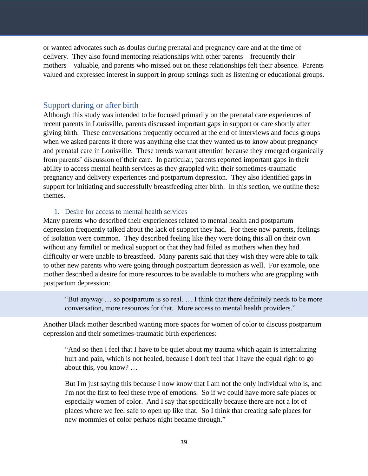or wanted advocates such as doulas during prenatal and pregnancy care and at the time of delivery. They also found mentoring relationships with other parents—frequently their mothers—valuable, and parents who missed out on these relationships felt their absence. Parents valued and expressed interest in support in group settings such as listening or educational groups.

# <span id="page-38-0"></span>Support during or after birth

Although this study was intended to be focused primarily on the prenatal care experiences of recent parents in Louisville, parents discussed important gaps in support or care shortly after giving birth. These conversations frequently occurred at the end of interviews and focus groups when we asked parents if there was anything else that they wanted us to know about pregnancy and prenatal care in Louisville. These trends warrant attention because they emerged organically from parents' discussion of their care. In particular, parents reported important gaps in their ability to access mental health services as they grappled with their sometimes-traumatic pregnancy and delivery experiences and postpartum depression. They also identified gaps in support for initiating and successfully breastfeeding after birth. In this section, we outline these themes.

## 1. Desire for access to mental health services

<span id="page-38-1"></span>Many parents who described their experiences related to mental health and postpartum depression frequently talked about the lack of support they had. For these new parents, feelings of isolation were common. They described feeling like they were doing this all on their own without any familial or medical support or that they had failed as mothers when they had difficulty or were unable to breastfeed. Many parents said that they wish they were able to talk to other new parents who were going through postpartum depression as well. For example, one mother described a desire for more resources to be available to mothers who are grappling with postpartum depression:

"But anyway … so postpartum is so real. … I think that there definitely needs to be more conversation, more resources for that. More access to mental health providers."

Another Black mother described wanting more spaces for women of color to discuss postpartum depression and their sometimes-traumatic birth experiences:

"And so then I feel that I have to be quiet about my trauma which again is internalizing hurt and pain, which is not healed, because I don't feel that I have the equal right to go about this, you know? …

But I'm just saying this because I now know that I am not the only individual who is, and I'm not the first to feel these type of emotions. So if we could have more safe places or especially women of color. And I say that specifically because there are not a lot of places where we feel safe to open up like that. So I think that creating safe places for new mommies of color perhaps night became through."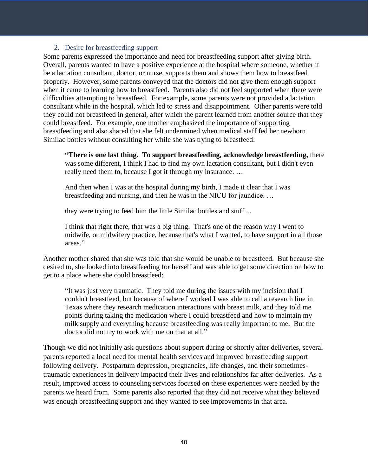#### 2. Desire for breastfeeding support

<span id="page-39-0"></span>Some parents expressed the importance and need for breastfeeding support after giving birth. Overall, parents wanted to have a positive experience at the hospital where someone, whether it be a lactation consultant, doctor, or nurse, supports them and shows them how to breastfeed properly. However, some parents conveyed that the doctors did not give them enough support when it came to learning how to breastfeed. Parents also did not feel supported when there were difficulties attempting to breastfeed. For example, some parents were not provided a lactation consultant while in the hospital, which led to stress and disappointment. Other parents were told they could not breastfeed in general, after which the parent learned from another source that they could breastfeed. For example, one mother emphasized the importance of supporting breastfeeding and also shared that she felt undermined when medical staff fed her newborn Similac bottles without consulting her while she was trying to breastfeed:

**"There is one last thing. To support breastfeeding, acknowledge breastfeeding,** there was some different, I think I had to find my own lactation consultant, but I didn't even really need them to, because I got it through my insurance. …

And then when I was at the hospital during my birth, I made it clear that I was breastfeeding and nursing, and then he was in the NICU for jaundice. …

they were trying to feed him the little Similac bottles and stuff ...

I think that right there, that was a big thing. That's one of the reason why I went to midwife, or midwifery practice, because that's what I wanted, to have support in all those areas."

Another mother shared that she was told that she would be unable to breastfeed. But because she desired to, she looked into breastfeeding for herself and was able to get some direction on how to get to a place where she could breastfeed:

"It was just very traumatic. They told me during the issues with my incision that I couldn't breastfeed, but because of where I worked I was able to call a research line in Texas where they research medication interactions with breast milk, and they told me points during taking the medication where I could breastfeed and how to maintain my milk supply and everything because breastfeeding was really important to me. But the doctor did not try to work with me on that at all."

Though we did not initially ask questions about support during or shortly after deliveries, several parents reported a local need for mental health services and improved breastfeeding support following delivery. Postpartum depression, pregnancies, life changes, and their sometimestraumatic experiences in delivery impacted their lives and relationships far after deliveries. As a result, improved access to counseling services focused on these experiences were needed by the parents we heard from. Some parents also reported that they did not receive what they believed was enough breastfeeding support and they wanted to see improvements in that area.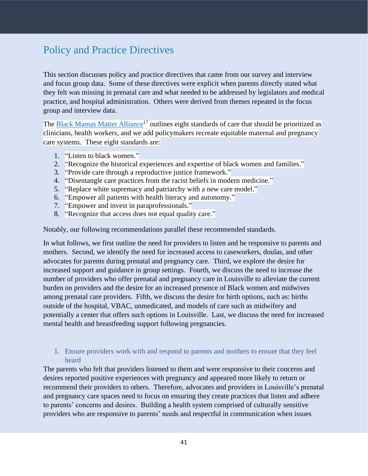# <span id="page-40-0"></span>Policy and Practice Directives

This section discusses policy and practice directives that came from our survey and interview and focus group data. Some of these directives were explicit when parents directly stated what they felt was missing in prenatal care and what needed to be addressed by legislators and medical practice, and hospital administration. Others were derived from themes repeated in the focus group and interview data.

The [Black Mamas Matter Alliance](https://blackmamasmatter.org/)<sup>17</sup> outlines eight standards of care that should be prioritized as clinicians, health workers, and we add policymakers recreate equitable maternal and pregnancy care systems. These eight standards are:

- 1. "Listen to black women."
- 2. "Recognize the historical experiences and expertise of black women and families."
- 3. "Provide care through a reproductive justice framework."
- 4. "Disentangle care practices from the racist beliefs in modern medicine."
- 5. "Replace white supremacy and patriarchy with a new care model."
- 6. "Empower all patients with health literacy and autonomy."
- 7. "Empower and invest in paraprofessionals."
- 8. "Recognize that access does not equal quality care."

Notably, our following recommendations parallel these recommended standards.

In what follows, we first outline the need for providers to listen and be responsive to parents and mothers. Second, we identify the need for increased access to caseworkers, doulas, and other advocates for parents during prenatal and pregnancy care. Third, we explore the desire for increased support and guidance in group settings. Fourth, we discuss the need to increase the number of providers who offer prenatal and pregnancy care in Louisville to alleviate the current burden on providers and the desire for an increased presence of Black women and midwives among prenatal care providers. Fifth, we discuss the desire for birth options, such as: births outside of the hospital, VBAC, unmedicated, and models of care such as midwifery and potentially a center that offers such options in Louisville. Last, we discuss the need for increased mental health and breastfeeding support following pregnancies.

# <span id="page-40-1"></span>1. Ensure providers work with and respond to parents and mothers to ensure that they feel heard

The parents who felt that providers listened to them and were responsive to their concerns and desires reported positive experiences with pregnancy and appeared more likely to return or recommend their providers to others. Therefore, advocates and providers in Louisville's prenatal and pregnancy care spaces need to focus on ensuring they create practices that listen and adhere to parents' concerns and desires. Building a health system comprised of culturally sensitive providers who are responsive to parents' needs and respectful in communication when issues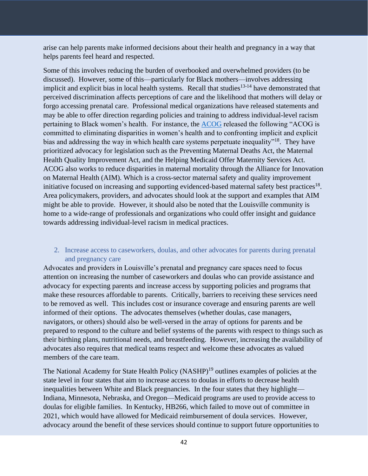arise can help parents make informed decisions about their health and pregnancy in a way that helps parents feel heard and respected.

Some of this involves reducing the burden of overbooked and overwhelmed providers (to be discussed). However, some of this—particularly for Black mothers—involves addressing implicit and explicit bias in local health systems. Recall that studies<sup>13-14</sup> have demonstrated that perceived discrimination affects perceptions of care and the likelihood that mothers will delay or forgo accessing prenatal care. Professional medical organizations have released statements and may be able to offer direction regarding policies and training to address individual-level racism pertaining to Black women's health. For instance, the [ACOG](https://www.acog.org/about/our-commitment-to-changing-the-culture-of-medicine-and-eliminating-racial-disparities-in-womens-health-outcomes) released the following "ACOG is committed to eliminating disparities in women's health and to confronting implicit and explicit bias and addressing the way in which health care systems perpetuate inequality"<sup>18</sup>. They have prioritized advocacy for legislation such as the Preventing Maternal Deaths Act, the Maternal Health Quality Improvement Act, and the Helping Medicaid Offer Maternity Services Act. ACOG also works to reduce disparities in maternal mortality through the Alliance for Innovation on Maternal Health (AIM). Which is a cross-sector maternal safety and quality improvement initiative focused on increasing and supporting evidenced-based maternal safety best practices<sup>18</sup>. Area policymakers, providers, and advocates should look at the support and examples that AIM might be able to provide. However, it should also be noted that the Louisville community is home to a wide-range of professionals and organizations who could offer insight and guidance towards addressing individual-level racism in medical practices.

# <span id="page-41-0"></span>2. Increase access to caseworkers, doulas, and other advocates for parents during prenatal and pregnancy care

Advocates and providers in Louisville's prenatal and pregnancy care spaces need to focus attention on increasing the number of caseworkers and doulas who can provide assistance and advocacy for expecting parents and increase access by supporting policies and programs that make these resources affordable to parents. Critically, barriers to receiving these services need to be removed as well. This includes cost or insurance coverage and ensuring parents are well informed of their options. The advocates themselves (whether doulas, case managers, navigators, or others) should also be well-versed in the array of options for parents and be prepared to respond to the culture and belief systems of the parents with respect to things such as their birthing plans, nutritional needs, and breastfeeding. However, increasing the availability of advocates also requires that medical teams respect and welcome these advocates as valued members of the care team.

The National Academy for State Health Policy (NASHP)<sup>19</sup> outlines examples of policies at the state level in four states that aim to increase access to doulas in efforts to decrease health inequalities between White and Black pregnancies. In the four states that they highlight— Indiana, Minnesota, Nebraska, and Oregon—Medicaid programs are used to provide access to doulas for eligible families. In Kentucky, HB266, which failed to move out of committee in 2021, which would have allowed for Medicaid reimbursement of doula services. However, advocacy around the benefit of these services should continue to support future opportunities to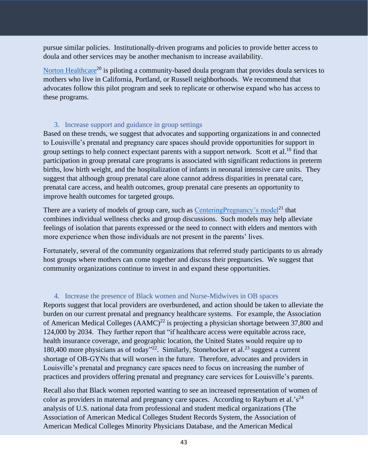pursue similar policies. Institutionally-driven programs and policies to provide better access to doula and other services may be another mechanism to increase availability.

[Norton Healthcare](https://nortonhealthcare.com/news/doula-program-west-lousville/)<sup>20</sup> is piloting a community-based doula program that provides doula services to mothers who live in California, Portland, or Russell neighborhoods. We recommend that advocates follow this pilot program and seek to replicate or otherwise expand who has access to these programs.

# 3. Increase support and guidance in group settings

<span id="page-42-0"></span>Based on these trends, we suggest that advocates and supporting organizations in and connected to Louisville's prenatal and pregnancy care spaces should provide opportunities for support in group settings to help connect expectant parents with a support network. Scott et al.<sup>10</sup> find that participation in group prenatal care programs is associated with significant reductions in preterm births, low birth weight, and the hospitalization of infants in neonatal intensive care units. They suggest that although group prenatal care alone cannot address disparities in prenatal care, prenatal care access, and health outcomes, group prenatal care presents an opportunity to improve health outcomes for targeted groups.

There are a variety of models of group care, such as [CenteringPregnancy's model](https://centeringhealthcare.org/what-we-do/centering-pregnancy)<sup>21</sup> that combines individual wellness checks and group discussions. Such models may help alleviate feelings of isolation that parents expressed or the need to connect with elders and mentors with more experience when those individuals are not present in the parents' lives.

Fortunately, several of the community organizations that referred study participants to us already host groups where mothers can come together and discuss their pregnancies. We suggest that community organizations continue to invest in and expand these opportunities.

# 4. Increase the presence of Black women and Nurse-Midwives in OB spaces

<span id="page-42-1"></span>Reports suggest that local providers are overburdened, and action should be taken to alleviate the burden on our current prenatal and pregnancy healthcare systems. For example, the Association of American Medical Colleges  $(AAMC)^{22}$  is projecting a physician shortage between 37,800 and 124,000 by 2034. They further report that "if healthcare access were equitable across race, health insurance coverage, and geographic location, the United States would require up to 180,400 more physicians as of today"<sup>22</sup>. Similarly, Stonehocker et al.<sup>23</sup> suggest a current shortage of OB-GYNs that will worsen in the future. Therefore, advocates and providers in Louisville's prenatal and pregnancy care spaces need to focus on increasing the number of practices and providers offering prenatal and pregnancy care services for Louisville's parents.

Recall also that Black women reported wanting to see an increased representation of women of color as providers in maternal and pregnancy care spaces. According to Rayburn et al.' $s^{24}$ analysis of U.S. national data from professional and student medical organizations (The Association of American Medical Colleges Student Records System, the Association of American Medical Colleges Minority Physicians Database, and the American Medical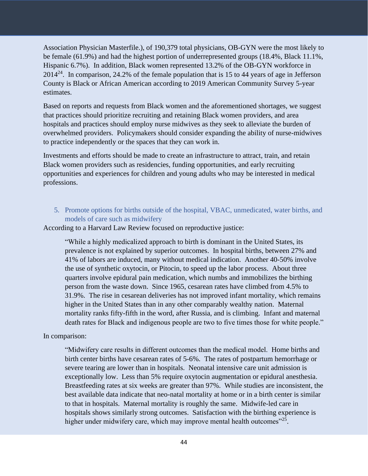Association Physician Masterfile.), of 190,379 total physicians, OB-GYN were the most likely to be female (61.9%) and had the highest portion of underrepresented groups (18.4%, Black 11.1%, Hispanic 6.7%). In addition, Black women represented 13.2% of the OB-GYN workforce in  $2014^{24}$ . In comparison, 24.2% of the female population that is 15 to 44 years of age in Jefferson County is Black or African American according to 2019 American Community Survey 5-year estimates.

Based on reports and requests from Black women and the aforementioned shortages, we suggest that practices should prioritize recruiting and retaining Black women providers, and area hospitals and practices should employ nurse midwives as they seek to alleviate the burden of overwhelmed providers. Policymakers should consider expanding the ability of nurse-midwives to practice independently or the spaces that they can work in.

Investments and efforts should be made to create an infrastructure to attract, train, and retain Black women providers such as residencies, funding opportunities, and early recruiting opportunities and experiences for children and young adults who may be interested in medical professions.

<span id="page-43-0"></span>5. Promote options for births outside of the hospital, VBAC, unmedicated, water births, and models of care such as midwifery

According to a Harvard Law Review focused on reproductive justice:

"While a highly medicalized approach to birth is dominant in the United States, its prevalence is not explained by superior outcomes. In hospital births, between 27% and 41% of labors are induced, many without medical indication. Another 40-50% involve the use of synthetic oxytocin, or Pitocin, to speed up the labor process. About three quarters involve epidural pain medication, which numbs and immobilizes the birthing person from the waste down. Since 1965, cesarean rates have climbed from 4.5% to 31.9%. The rise in cesarean deliveries has not improved infant mortality, which remains higher in the United States than in any other comparably wealthy nation. Maternal mortality ranks fifty-fifth in the word, after Russia, and is climbing. Infant and maternal death rates for Black and indigenous people are two to five times those for white people."

## In comparison:

"Midwifery care results in different outcomes than the medical model. Home births and birth center births have cesarean rates of 5-6%. The rates of postpartum hemorrhage or severe tearing are lower than in hospitals. Neonatal intensive care unit admission is exceptionally low. Less than 5% require oxytocin augmentation or epidural anesthesia. Breastfeeding rates at six weeks are greater than 97%. While studies are inconsistent, the best available data indicate that neo-natal mortality at home or in a birth center is similar to that in hospitals. Maternal mortality is roughly the same. Midwife-led care in hospitals shows similarly strong outcomes. Satisfaction with the birthing experience is higher under midwifery care, which may improve mental health outcomes"<sup>25</sup>.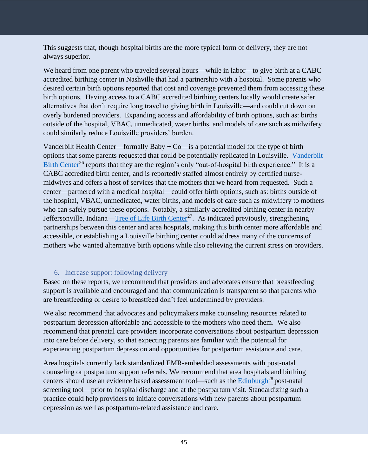This suggests that, though hospital births are the more typical form of delivery, they are not always superior.

We heard from one parent who traveled several hours—while in labor—to give birth at a CABC accredited birthing center in Nashville that had a partnership with a hospital. Some parents who desired certain birth options reported that cost and coverage prevented them from accessing these birth options. Having access to a CABC accredited birthing centers locally would create safer alternatives that don't require long travel to giving birth in Louisville—and could cut down on overly burdened providers. Expanding access and affordability of birth options, such as: births outside of the hospital, VBAC, unmedicated, water births, and models of care such as midwifery could similarly reduce Louisville providers' burden.

Vanderbilt Health Center—formally Baby  $+$  Co—is a potential model for the type of birth options that some parents requested that could be potentially replicated in Louisville. [Vanderbilt](https://www.vanderbilthealth.com/program/vanderbilt-birth-center)  [Birth Center](https://www.vanderbilthealth.com/program/vanderbilt-birth-center)<sup>26</sup> reports that they are the region's only "out-of-hospital birth experience." It is a CABC accredited birth center, and is reportedly staffed almost entirely by certified nursemidwives and offers a host of services that the mothers that we heard from requested. Such a center—partnered with a medical hospital—could offer birth options, such as: births outside of the hospital, VBAC, unmedicated, water births, and models of care such as midwifery to mothers who can safely pursue these options. Notably, a similarly accredited birthing center in nearby Jeffersonville, Indiana[—Tree of Life Birth Center](https://treeoflifefbc.com/)<sup>27</sup>. As indicated previously, strengthening partnerships between this center and area hospitals, making this birth center more affordable and accessible, or establishing a Louisville birthing center could address many of the concerns of mothers who wanted alternative birth options while also relieving the current stress on providers.

# 6. Increase support following delivery

<span id="page-44-0"></span>Based on these reports, we recommend that providers and advocates ensure that breastfeeding support is available and encouraged and that communication is transparent so that parents who are breastfeeding or desire to breastfeed don't feel undermined by providers.

We also recommend that advocates and policymakers make counseling resources related to postpartum depression affordable and accessible to the mothers who need them. We also recommend that prenatal care providers incorporate conversations about postpartum depression into care before delivery, so that expecting parents are familiar with the potential for experiencing postpartum depression and opportunities for postpartum assistance and care.

Area hospitals currently lack standardized EMR-embedded assessments with post-natal counseling or postpartum support referrals. We recommend that area hospitals and birthing centers should use an evidence based assessment tool—such as the **Edinburgh<sup>28</sup>** post-natal screening tool—prior to hospital discharge and at the postpartum visit. Standardizing such a practice could help providers to initiate conversations with new parents about postpartum depression as well as postpartum-related assistance and care.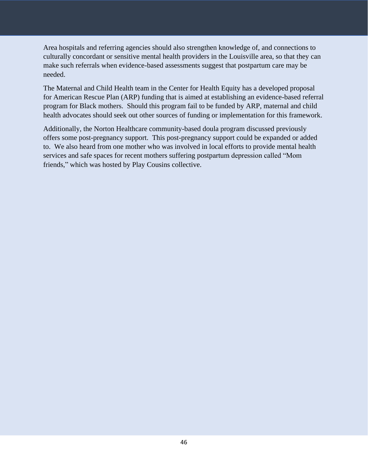Area hospitals and referring agencies should also strengthen knowledge of, and connections to culturally concordant or sensitive mental health providers in the Louisville area, so that they can make such referrals when evidence-based assessments suggest that postpartum care may be needed.

The Maternal and Child Health team in the Center for Health Equity has a developed proposal for American Rescue Plan (ARP) funding that is aimed at establishing an evidence-based referral program for Black mothers. Should this program fail to be funded by ARP, maternal and child health advocates should seek out other sources of funding or implementation for this framework.

Additionally, the Norton Healthcare community-based doula program discussed previously offers some post-pregnancy support. This post-pregnancy support could be expanded or added to. We also heard from one mother who was involved in local efforts to provide mental health services and safe spaces for recent mothers suffering postpartum depression called "Mom friends," which was hosted by Play Cousins collective.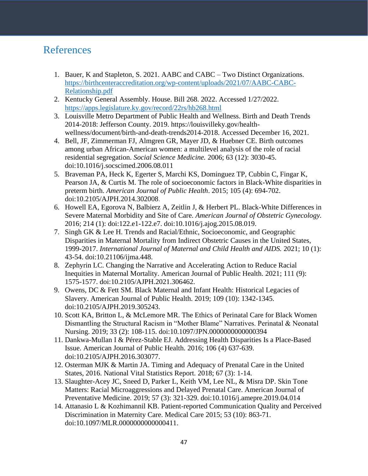# <span id="page-46-0"></span>References

- 1. Bauer, K and Stapleton, S. 2021. AABC and CABC Two Distinct Organizations. [https://birthcenteraccreditation.org/wp-content/uploads/2021/07/AABC-CABC-](https://birthcenteraccreditation.org/wp-content/uploads/2021/07/AABC-CABC-Relationship.pdf)[Relationship.pdf](https://birthcenteraccreditation.org/wp-content/uploads/2021/07/AABC-CABC-Relationship.pdf)
- 2. Kentucky General Assembly. House. Bill 268. 2022. Accessed 1/27/2022. <https://apps.legislature.ky.gov/record/22rs/hb268.html>
- 3. Louisville Metro Department of Public Health and Wellness. Birth and Death Trends 2014-2018: Jefferson County. 2019. https://louisvilleky.gov/healthwellness/document/birth-and-death-trends2014-2018. Accessed December 16, 2021.
- 4. Bell, JF, Zimmerman FJ, Almgren GR, Mayer JD, & Huebner CE. Birth outcomes among urban African-American women: a multilevel analysis of the role of racial residential segregation. *Social Science Medicine.* 2006; 63 (12): 3030-45. doi[:10.1016/j.socscimed.2006.08.011](https://doi.org/10.1016/j.socscimed.2006.08.011)
- 5. Braveman PA, Heck K, Egerter S, Marchi KS, Dominguez TP, Cubbin C, Fingar K, Pearson JA, & Curtis M. The role of socioeconomic factors in Black-White disparities in preterm birth. *American Journal of Public Health*. 2015; 105 (4): 694-702. doi:10.2105/AJPH.2014.302008.
- 6. Howell EA, Egorova N, Balbierz A, Zeitlin J, & Herbert PL. Black-White Differences in Severe Maternal Morbidity and Site of Care. *American Journal of Obstetric Gynecology.*  2016; 214 (1): doi:122.e1-122.e7. doi:10.1016/j.ajog.2015.08.019.
- 7. Singh GK & Lee H. Trends and Racial/Ethnic, Socioeconomic, and Geographic Disparities in Maternal Mortality from Indirect Obstetric Causes in the United States, 1999-2017. *International Journal of Maternal and Child Health and AIDS.* 2021; 10 (1): 43-54. doi:10.21106/ijma.448.
- 8. Zephyrin LC. Changing the Narrative and Accelerating Action to Reduce Racial Inequities in Maternal Mortality. American Journal of Public Health. 2021; 111 (9): 1575-1577. doi:10.2105/AJPH.2021.306462.
- 9. Owens, DC & Fett SM. Black Maternal and Infant Health: Historical Legacies of Slavery. American Journal of Public Health. 2019; 109 (10): 1342-1345. doi:10.2105/AJPH.2019.305243.
- 10. Scott KA, Britton L, & McLemore MR. The Ethics of Perinatal Care for Black Women Dismantling the Structural Racism in "Mother Blame" Narratives. Perinatal & Neonatal Nursing. 2019; 33 (2): 108-115. doi:10.1097/JPN.0000000000000394
- 11. Dankwa-Mullan I & Pérez-Stable EJ. Addressing Health Disparities Is a Place-Based Issue. American Journal of Public Health. 2016; 106 (4) 637-639. doi:10.2105/AJPH.2016.303077.
- 12. Osterman MJK & Martin JA. Timing and Adequacy of Prenatal Care in the United States, 2016. National Vital Statistics Report. 2018; 67 (3): 1-14.
- 13. Slaughter-Acey JC, Sneed D, Parker L, Keith VM, Lee NL, & Misra DP. Skin Tone Matters: Racial Microaggressions and Delayed Prenatal Care. American Journal of Preventative Medicine. 2019; 57 (3): 321-329. doi:10.1016/j.amepre.2019.04.014
- 14. Attanasio L & Kozhimannil KB. Patient-reported Communication Quality and Perceived Discrimination in Maternity Care. Medical Care 2015; 53 (10): 863-71. doi:10.1097/MLR.0000000000000411.